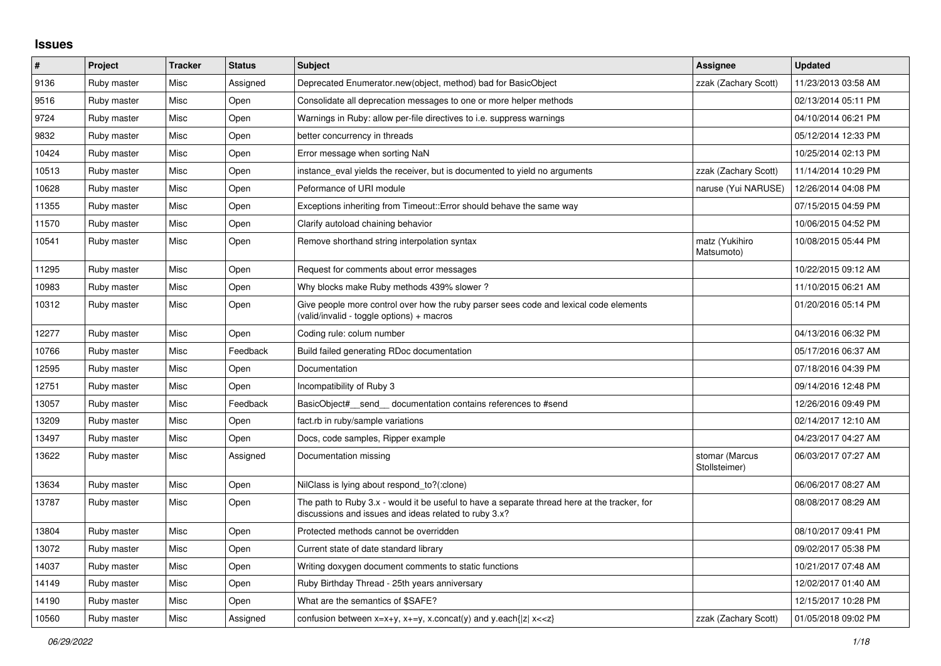## **Issues**

| $\#$  | Project     | <b>Tracker</b> | <b>Status</b> | <b>Subject</b>                                                                                                                                        | <b>Assignee</b>                 | <b>Updated</b>      |
|-------|-------------|----------------|---------------|-------------------------------------------------------------------------------------------------------------------------------------------------------|---------------------------------|---------------------|
| 9136  | Ruby master | Misc           | Assigned      | Deprecated Enumerator.new(object, method) bad for BasicObject                                                                                         | zzak (Zachary Scott)            | 11/23/2013 03:58 AM |
| 9516  | Ruby master | Misc           | Open          | Consolidate all deprecation messages to one or more helper methods                                                                                    |                                 | 02/13/2014 05:11 PM |
| 9724  | Ruby master | <b>Misc</b>    | Open          | Warnings in Ruby: allow per-file directives to i.e. suppress warnings                                                                                 |                                 | 04/10/2014 06:21 PM |
| 9832  | Ruby master | Misc           | Open          | better concurrency in threads                                                                                                                         |                                 | 05/12/2014 12:33 PM |
| 10424 | Ruby master | Misc           | Open          | Error message when sorting NaN                                                                                                                        |                                 | 10/25/2014 02:13 PM |
| 10513 | Ruby master | Misc           | Open          | instance_eval yields the receiver, but is documented to yield no arguments                                                                            | zzak (Zachary Scott)            | 11/14/2014 10:29 PM |
| 10628 | Ruby master | Misc           | Open          | Peformance of URI module                                                                                                                              | naruse (Yui NARUSE)             | 12/26/2014 04:08 PM |
| 11355 | Ruby master | Misc           | Open          | Exceptions inheriting from Timeout:: Error should behave the same way                                                                                 |                                 | 07/15/2015 04:59 PM |
| 11570 | Ruby master | Misc           | Open          | Clarify autoload chaining behavior                                                                                                                    |                                 | 10/06/2015 04:52 PM |
| 10541 | Ruby master | Misc           | Open          | Remove shorthand string interpolation syntax                                                                                                          | matz (Yukihiro<br>Matsumoto)    | 10/08/2015 05:44 PM |
| 11295 | Ruby master | Misc           | Open          | Request for comments about error messages                                                                                                             |                                 | 10/22/2015 09:12 AM |
| 10983 | Ruby master | Misc           | Open          | Why blocks make Ruby methods 439% slower?                                                                                                             |                                 | 11/10/2015 06:21 AM |
| 10312 | Ruby master | Misc           | Open          | Give people more control over how the ruby parser sees code and lexical code elements<br>(valid/invalid - toggle options) + macros                    |                                 | 01/20/2016 05:14 PM |
| 12277 | Ruby master | Misc           | Open          | Coding rule: colum number                                                                                                                             |                                 | 04/13/2016 06:32 PM |
| 10766 | Ruby master | Misc           | Feedback      | Build failed generating RDoc documentation                                                                                                            |                                 | 05/17/2016 06:37 AM |
| 12595 | Ruby master | Misc           | Open          | Documentation                                                                                                                                         |                                 | 07/18/2016 04:39 PM |
| 12751 | Ruby master | Misc           | Open          | Incompatibility of Ruby 3                                                                                                                             |                                 | 09/14/2016 12:48 PM |
| 13057 | Ruby master | Misc           | Feedback      | BasicObject# send documentation contains references to #send                                                                                          |                                 | 12/26/2016 09:49 PM |
| 13209 | Ruby master | Misc           | Open          | fact.rb in ruby/sample variations                                                                                                                     |                                 | 02/14/2017 12:10 AM |
| 13497 | Ruby master | Misc           | Open          | Docs, code samples, Ripper example                                                                                                                    |                                 | 04/23/2017 04:27 AM |
| 13622 | Ruby master | Misc           | Assigned      | Documentation missing                                                                                                                                 | stomar (Marcus<br>Stollsteimer) | 06/03/2017 07:27 AM |
| 13634 | Ruby master | Misc           | Open          | NilClass is lying about respond to?(:clone)                                                                                                           |                                 | 06/06/2017 08:27 AM |
| 13787 | Ruby master | Misc           | Open          | The path to Ruby 3.x - would it be useful to have a separate thread here at the tracker, for<br>discussions and issues and ideas related to ruby 3.x? |                                 | 08/08/2017 08:29 AM |
| 13804 | Ruby master | Misc           | Open          | Protected methods cannot be overridden                                                                                                                |                                 | 08/10/2017 09:41 PM |
| 13072 | Ruby master | Misc           | Open          | Current state of date standard library                                                                                                                |                                 | 09/02/2017 05:38 PM |
| 14037 | Ruby master | Misc           | Open          | Writing doxygen document comments to static functions                                                                                                 |                                 | 10/21/2017 07:48 AM |
| 14149 | Ruby master | Misc           | Open          | Ruby Birthday Thread - 25th years anniversary                                                                                                         |                                 | 12/02/2017 01:40 AM |
| 14190 | Ruby master | Misc           | Open          | What are the semantics of \$SAFE?                                                                                                                     |                                 | 12/15/2017 10:28 PM |
| 10560 | Ruby master | Misc           | Assigned      | confusion between $x=x+y$ , $x=-y$ , x.concat(y) and y.each{ z  $x<}$                                                                                 | zzak (Zachary Scott)            | 01/05/2018 09:02 PM |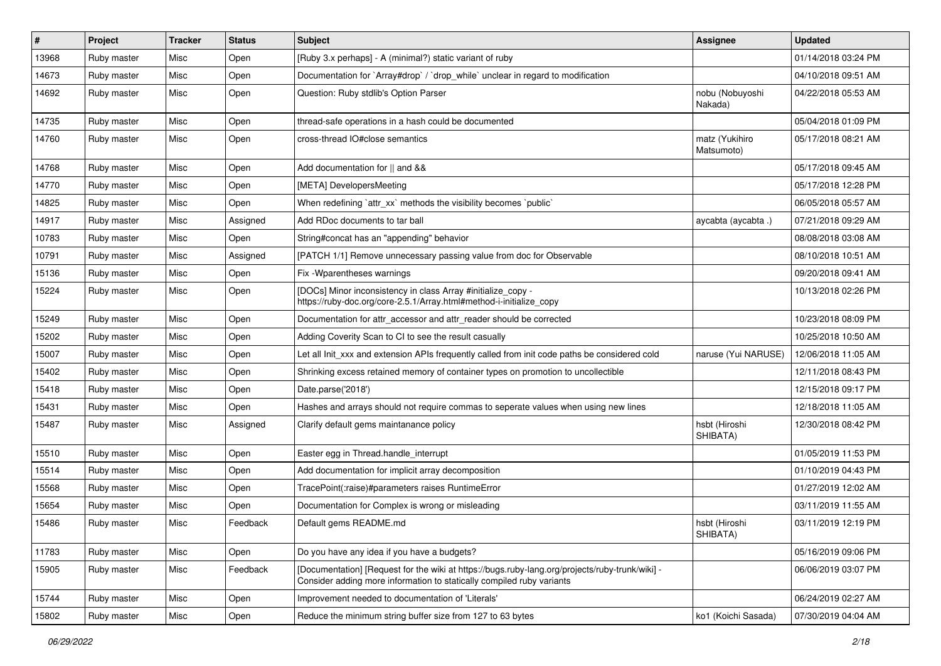| $\sharp$ | Project     | <b>Tracker</b> | <b>Status</b> | Subject                                                                                                                                                                  | Assignee                     | <b>Updated</b>      |
|----------|-------------|----------------|---------------|--------------------------------------------------------------------------------------------------------------------------------------------------------------------------|------------------------------|---------------------|
| 13968    | Ruby master | Misc           | Open          | [Ruby 3.x perhaps] - A (minimal?) static variant of ruby                                                                                                                 |                              | 01/14/2018 03:24 PM |
| 14673    | Ruby master | Misc           | Open          | Documentation for `Array#drop` / `drop_while` unclear in regard to modification                                                                                          |                              | 04/10/2018 09:51 AM |
| 14692    | Ruby master | Misc           | Open          | Question: Ruby stdlib's Option Parser                                                                                                                                    | nobu (Nobuyoshi<br>Nakada)   | 04/22/2018 05:53 AM |
| 14735    | Ruby master | Misc           | Open          | thread-safe operations in a hash could be documented                                                                                                                     |                              | 05/04/2018 01:09 PM |
| 14760    | Ruby master | Misc           | Open          | cross-thread IO#close semantics                                                                                                                                          | matz (Yukihiro<br>Matsumoto) | 05/17/2018 08:21 AM |
| 14768    | Ruby master | Misc           | Open          | Add documentation for    and &&                                                                                                                                          |                              | 05/17/2018 09:45 AM |
| 14770    | Ruby master | Misc           | Open          | [META] DevelopersMeeting                                                                                                                                                 |                              | 05/17/2018 12:28 PM |
| 14825    | Ruby master | Misc           | Open          | When redefining 'attr_xx' methods the visibility becomes 'public'                                                                                                        |                              | 06/05/2018 05:57 AM |
| 14917    | Ruby master | Misc           | Assigned      | Add RDoc documents to tar ball                                                                                                                                           | aycabta (aycabta.)           | 07/21/2018 09:29 AM |
| 10783    | Ruby master | Misc           | Open          | String#concat has an "appending" behavior                                                                                                                                |                              | 08/08/2018 03:08 AM |
| 10791    | Ruby master | Misc           | Assigned      | [PATCH 1/1] Remove unnecessary passing value from doc for Observable                                                                                                     |                              | 08/10/2018 10:51 AM |
| 15136    | Ruby master | Misc           | Open          | Fix - Wparentheses warnings                                                                                                                                              |                              | 09/20/2018 09:41 AM |
| 15224    | Ruby master | Misc           | Open          | [DOCs] Minor inconsistency in class Array #initialize_copy -<br>https://ruby-doc.org/core-2.5.1/Array.html#method-i-initialize_copy                                      |                              | 10/13/2018 02:26 PM |
| 15249    | Ruby master | Misc           | Open          | Documentation for attr_accessor and attr_reader should be corrected                                                                                                      |                              | 10/23/2018 08:09 PM |
| 15202    | Ruby master | Misc           | Open          | Adding Coverity Scan to CI to see the result casually                                                                                                                    |                              | 10/25/2018 10:50 AM |
| 15007    | Ruby master | Misc           | Open          | Let all Init_xxx and extension APIs frequently called from init code paths be considered cold                                                                            | naruse (Yui NARUSE)          | 12/06/2018 11:05 AM |
| 15402    | Ruby master | Misc           | Open          | Shrinking excess retained memory of container types on promotion to uncollectible                                                                                        |                              | 12/11/2018 08:43 PM |
| 15418    | Ruby master | Misc           | Open          | Date.parse('2018')                                                                                                                                                       |                              | 12/15/2018 09:17 PM |
| 15431    | Ruby master | Misc           | Open          | Hashes and arrays should not require commas to seperate values when using new lines                                                                                      |                              | 12/18/2018 11:05 AM |
| 15487    | Ruby master | Misc           | Assigned      | Clarify default gems maintanance policy                                                                                                                                  | hsbt (Hiroshi<br>SHIBATA)    | 12/30/2018 08:42 PM |
| 15510    | Ruby master | Misc           | Open          | Easter egg in Thread.handle_interrupt                                                                                                                                    |                              | 01/05/2019 11:53 PM |
| 15514    | Ruby master | Misc           | Open          | Add documentation for implicit array decomposition                                                                                                                       |                              | 01/10/2019 04:43 PM |
| 15568    | Ruby master | Misc           | Open          | TracePoint(:raise)#parameters raises RuntimeError                                                                                                                        |                              | 01/27/2019 12:02 AM |
| 15654    | Ruby master | Misc           | Open          | Documentation for Complex is wrong or misleading                                                                                                                         |                              | 03/11/2019 11:55 AM |
| 15486    | Ruby master | Misc           | Feedback      | Default gems README.md                                                                                                                                                   | hsbt (Hiroshi<br>SHIBATA)    | 03/11/2019 12:19 PM |
| 11783    | Ruby master | Misc           | Open          | Do you have any idea if you have a budgets?                                                                                                                              |                              | 05/16/2019 09:06 PM |
| 15905    | Ruby master | Misc           | Feedback      | [Documentation] [Request for the wiki at https://bugs.ruby-lang.org/projects/ruby-trunk/wiki] -<br>Consider adding more information to statically compiled ruby variants |                              | 06/06/2019 03:07 PM |
| 15744    | Ruby master | Misc           | Open          | Improvement needed to documentation of 'Literals'                                                                                                                        |                              | 06/24/2019 02:27 AM |
| 15802    | Ruby master | Misc           | Open          | Reduce the minimum string buffer size from 127 to 63 bytes                                                                                                               | ko1 (Koichi Sasada)          | 07/30/2019 04:04 AM |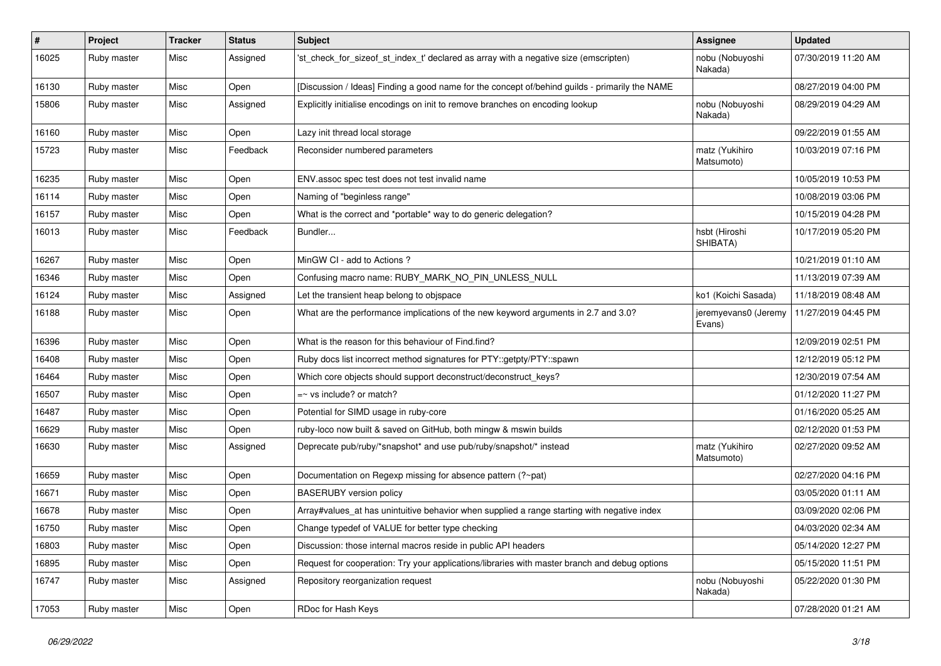| #     | <b>Project</b> | <b>Tracker</b> | <b>Status</b> | <b>Subject</b>                                                                                 | <b>Assignee</b>                | <b>Updated</b>      |
|-------|----------------|----------------|---------------|------------------------------------------------------------------------------------------------|--------------------------------|---------------------|
| 16025 | Ruby master    | Misc           | Assigned      | 'st_check_for_sizeof_st_index_t' declared as array with a negative size (emscripten)           | nobu (Nobuyoshi<br>Nakada)     | 07/30/2019 11:20 AM |
| 16130 | Ruby master    | Misc           | Open          | [Discussion / Ideas] Finding a good name for the concept of/behind guilds - primarily the NAME |                                | 08/27/2019 04:00 PM |
| 15806 | Ruby master    | Misc           | Assigned      | Explicitly initialise encodings on init to remove branches on encoding lookup                  | nobu (Nobuyoshi<br>Nakada)     | 08/29/2019 04:29 AM |
| 16160 | Ruby master    | Misc           | Open          | Lazy init thread local storage                                                                 |                                | 09/22/2019 01:55 AM |
| 15723 | Ruby master    | Misc           | Feedback      | Reconsider numbered parameters                                                                 | matz (Yukihiro<br>Matsumoto)   | 10/03/2019 07:16 PM |
| 16235 | Ruby master    | Misc           | Open          | ENV assoc spec test does not test invalid name                                                 |                                | 10/05/2019 10:53 PM |
| 16114 | Ruby master    | Misc           | Open          | Naming of "beginless range"                                                                    |                                | 10/08/2019 03:06 PM |
| 16157 | Ruby master    | Misc           | Open          | What is the correct and *portable* way to do generic delegation?                               |                                | 10/15/2019 04:28 PM |
| 16013 | Ruby master    | Misc           | Feedback      | Bundler                                                                                        | hsbt (Hiroshi<br>SHIBATA)      | 10/17/2019 05:20 PM |
| 16267 | Ruby master    | Misc           | Open          | MinGW CI - add to Actions ?                                                                    |                                | 10/21/2019 01:10 AM |
| 16346 | Ruby master    | Misc           | Open          | Confusing macro name: RUBY_MARK_NO_PIN_UNLESS_NULL                                             |                                | 11/13/2019 07:39 AM |
| 16124 | Ruby master    | Misc           | Assigned      | Let the transient heap belong to objspace                                                      | ko1 (Koichi Sasada)            | 11/18/2019 08:48 AM |
| 16188 | Ruby master    | Misc           | Open          | What are the performance implications of the new keyword arguments in 2.7 and 3.0?             | jeremyevans0 (Jeremy<br>Evans) | 11/27/2019 04:45 PM |
| 16396 | Ruby master    | Misc           | Open          | What is the reason for this behaviour of Find.find?                                            |                                | 12/09/2019 02:51 PM |
| 16408 | Ruby master    | Misc           | Open          | Ruby docs list incorrect method signatures for PTY::getpty/PTY::spawn                          |                                | 12/12/2019 05:12 PM |
| 16464 | Ruby master    | Misc           | Open          | Which core objects should support deconstruct/deconstruct_keys?                                |                                | 12/30/2019 07:54 AM |
| 16507 | Ruby master    | Misc           | Open          | $=$ vs include? or match?                                                                      |                                | 01/12/2020 11:27 PM |
| 16487 | Ruby master    | Misc           | Open          | Potential for SIMD usage in ruby-core                                                          |                                | 01/16/2020 05:25 AM |
| 16629 | Ruby master    | Misc           | Open          | ruby-loco now built & saved on GitHub, both mingw & mswin builds                               |                                | 02/12/2020 01:53 PM |
| 16630 | Ruby master    | Misc           | Assigned      | Deprecate pub/ruby/*snapshot* and use pub/ruby/snapshot/* instead                              | matz (Yukihiro<br>Matsumoto)   | 02/27/2020 09:52 AM |
| 16659 | Ruby master    | Misc           | Open          | Documentation on Regexp missing for absence pattern (?~pat)                                    |                                | 02/27/2020 04:16 PM |
| 16671 | Ruby master    | Misc           | Open          | <b>BASERUBY</b> version policy                                                                 |                                | 03/05/2020 01:11 AM |
| 16678 | Ruby master    | Misc           | Open          | Array#values_at has unintuitive behavior when supplied a range starting with negative index    |                                | 03/09/2020 02:06 PM |
| 16750 | Ruby master    | Misc           | Open          | Change typedef of VALUE for better type checking                                               |                                | 04/03/2020 02:34 AM |
| 16803 | Ruby master    | Misc           | Open          | Discussion: those internal macros reside in public API headers                                 |                                | 05/14/2020 12:27 PM |
| 16895 | Ruby master    | Misc           | Open          | Request for cooperation: Try your applications/libraries with master branch and debug options  |                                | 05/15/2020 11:51 PM |
| 16747 | Ruby master    | Misc           | Assigned      | Repository reorganization request                                                              | nobu (Nobuyoshi<br>Nakada)     | 05/22/2020 01:30 PM |
| 17053 | Ruby master    | Misc           | Open          | RDoc for Hash Keys                                                                             |                                | 07/28/2020 01:21 AM |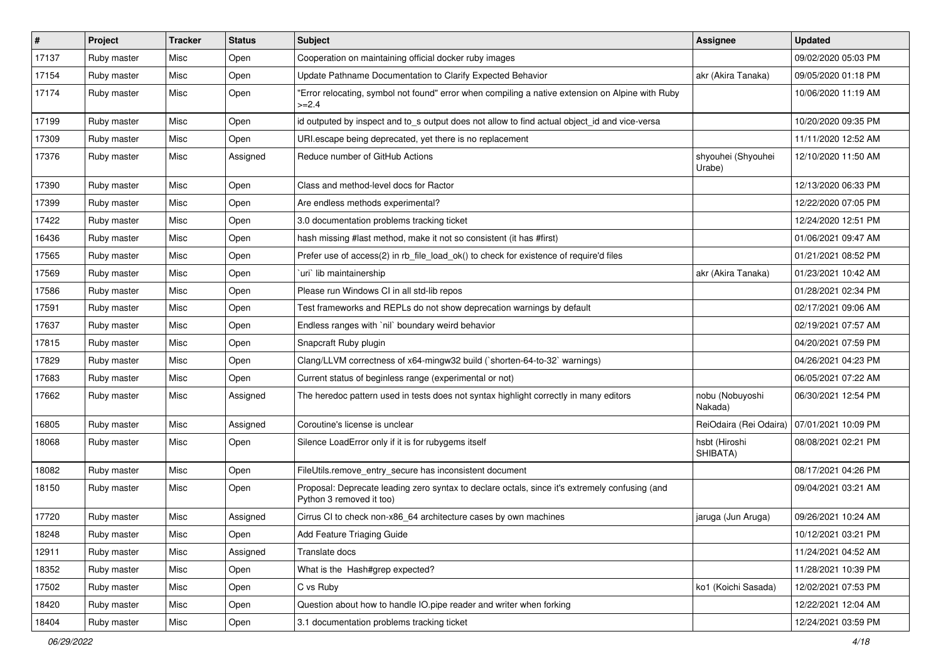| $\vert$ # | Project     | <b>Tracker</b> | <b>Status</b> | <b>Subject</b>                                                                                                             | Assignee                     | <b>Updated</b>      |
|-----------|-------------|----------------|---------------|----------------------------------------------------------------------------------------------------------------------------|------------------------------|---------------------|
| 17137     | Ruby master | Misc           | Open          | Cooperation on maintaining official docker ruby images                                                                     |                              | 09/02/2020 05:03 PM |
| 17154     | Ruby master | Misc           | Open          | Update Pathname Documentation to Clarify Expected Behavior                                                                 | akr (Akira Tanaka)           | 09/05/2020 01:18 PM |
| 17174     | Ruby master | Misc           | Open          | 'Error relocating, symbol not found" error when compiling a native extension on Alpine with Ruby<br>$>=2.4$                |                              | 10/06/2020 11:19 AM |
| 17199     | Ruby master | Misc           | Open          | id outputed by inspect and to_s output does not allow to find actual object_id and vice-versa                              |                              | 10/20/2020 09:35 PM |
| 17309     | Ruby master | Misc           | Open          | URI escape being deprecated, yet there is no replacement                                                                   |                              | 11/11/2020 12:52 AM |
| 17376     | Ruby master | Misc           | Assigned      | Reduce number of GitHub Actions                                                                                            | shyouhei (Shyouhei<br>Urabe) | 12/10/2020 11:50 AM |
| 17390     | Ruby master | Misc           | Open          | Class and method-level docs for Ractor                                                                                     |                              | 12/13/2020 06:33 PM |
| 17399     | Ruby master | Misc           | Open          | Are endless methods experimental?                                                                                          |                              | 12/22/2020 07:05 PM |
| 17422     | Ruby master | Misc           | Open          | 3.0 documentation problems tracking ticket                                                                                 |                              | 12/24/2020 12:51 PM |
| 16436     | Ruby master | Misc           | Open          | hash missing #last method, make it not so consistent (it has #first)                                                       |                              | 01/06/2021 09:47 AM |
| 17565     | Ruby master | Misc           | Open          | Prefer use of access(2) in rb_file_load_ok() to check for existence of require'd files                                     |                              | 01/21/2021 08:52 PM |
| 17569     | Ruby master | Misc           | Open          | uri lib maintainership                                                                                                     | akr (Akira Tanaka)           | 01/23/2021 10:42 AM |
| 17586     | Ruby master | Misc           | Open          | Please run Windows CI in all std-lib repos                                                                                 |                              | 01/28/2021 02:34 PM |
| 17591     | Ruby master | Misc           | Open          | Test frameworks and REPLs do not show deprecation warnings by default                                                      |                              | 02/17/2021 09:06 AM |
| 17637     | Ruby master | Misc           | Open          | Endless ranges with `nil` boundary weird behavior                                                                          |                              | 02/19/2021 07:57 AM |
| 17815     | Ruby master | Misc           | Open          | Snapcraft Ruby plugin                                                                                                      |                              | 04/20/2021 07:59 PM |
| 17829     | Ruby master | Misc           | Open          | Clang/LLVM correctness of x64-mingw32 build (`shorten-64-to-32` warnings)                                                  |                              | 04/26/2021 04:23 PM |
| 17683     | Ruby master | Misc           | Open          | Current status of beginless range (experimental or not)                                                                    |                              | 06/05/2021 07:22 AM |
| 17662     | Ruby master | Misc           | Assigned      | The heredoc pattern used in tests does not syntax highlight correctly in many editors                                      | nobu (Nobuyoshi<br>Nakada)   | 06/30/2021 12:54 PM |
| 16805     | Ruby master | Misc           | Assigned      | Coroutine's license is unclear                                                                                             | ReiOdaira (Rei Odaira)       | 07/01/2021 10:09 PM |
| 18068     | Ruby master | Misc           | Open          | Silence LoadError only if it is for rubygems itself                                                                        | hsbt (Hiroshi<br>SHIBATA)    | 08/08/2021 02:21 PM |
| 18082     | Ruby master | Misc           | Open          | FileUtils.remove_entry_secure has inconsistent document                                                                    |                              | 08/17/2021 04:26 PM |
| 18150     | Ruby master | Misc           | Open          | Proposal: Deprecate leading zero syntax to declare octals, since it's extremely confusing (and<br>Python 3 removed it too) |                              | 09/04/2021 03:21 AM |
| 17720     | Ruby master | Misc           | Assigned      | Cirrus CI to check non-x86_64 architecture cases by own machines                                                           | jaruga (Jun Aruga)           | 09/26/2021 10:24 AM |
| 18248     | Ruby master | Misc           | Open          | Add Feature Triaging Guide                                                                                                 |                              | 10/12/2021 03:21 PM |
| 12911     | Ruby master | Misc           | Assigned      | Translate docs                                                                                                             |                              | 11/24/2021 04:52 AM |
| 18352     | Ruby master | Misc           | Open          | What is the Hash#grep expected?                                                                                            |                              | 11/28/2021 10:39 PM |
| 17502     | Ruby master | Misc           | Open          | C vs Ruby                                                                                                                  | ko1 (Koichi Sasada)          | 12/02/2021 07:53 PM |
| 18420     | Ruby master | Misc           | Open          | Question about how to handle IO.pipe reader and writer when forking                                                        |                              | 12/22/2021 12:04 AM |
| 18404     | Ruby master | Misc           | Open          | 3.1 documentation problems tracking ticket                                                                                 |                              | 12/24/2021 03:59 PM |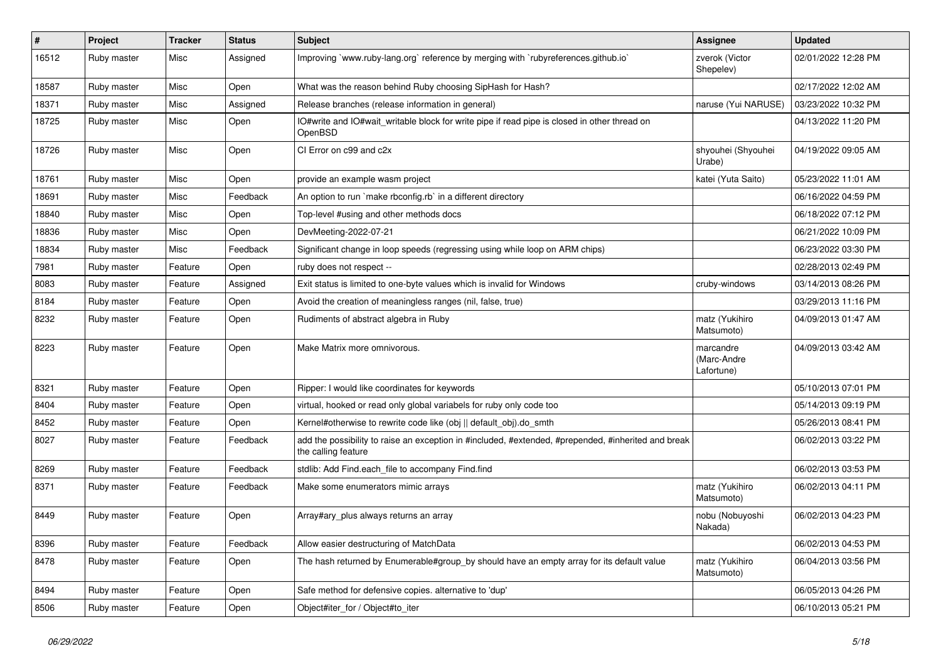| $\vert$ # | Project     | <b>Tracker</b> | <b>Status</b> | <b>Subject</b>                                                                                                             | Assignee                               | <b>Updated</b>      |
|-----------|-------------|----------------|---------------|----------------------------------------------------------------------------------------------------------------------------|----------------------------------------|---------------------|
| 16512     | Ruby master | Misc           | Assigned      | Improving `www.ruby-lang.org` reference by merging with `rubyreferences.github.io`                                         | zverok (Victor<br>Shepelev)            | 02/01/2022 12:28 PM |
| 18587     | Ruby master | Misc           | Open          | What was the reason behind Ruby choosing SipHash for Hash?                                                                 |                                        | 02/17/2022 12:02 AM |
| 18371     | Ruby master | Misc           | Assigned      | Release branches (release information in general)                                                                          | naruse (Yui NARUSE)                    | 03/23/2022 10:32 PM |
| 18725     | Ruby master | Misc           | Open          | IO#write and IO#wait_writable block for write pipe if read pipe is closed in other thread on<br>OpenBSD                    |                                        | 04/13/2022 11:20 PM |
| 18726     | Ruby master | Misc           | Open          | CI Error on c99 and c2x                                                                                                    | shyouhei (Shyouhei<br>Urabe)           | 04/19/2022 09:05 AM |
| 18761     | Ruby master | Misc           | Open          | provide an example wasm project                                                                                            | katei (Yuta Saito)                     | 05/23/2022 11:01 AM |
| 18691     | Ruby master | Misc           | Feedback      | An option to run `make rbconfig.rb` in a different directory                                                               |                                        | 06/16/2022 04:59 PM |
| 18840     | Ruby master | Misc           | Open          | Top-level #using and other methods docs                                                                                    |                                        | 06/18/2022 07:12 PM |
| 18836     | Ruby master | Misc           | Open          | DevMeeting-2022-07-21                                                                                                      |                                        | 06/21/2022 10:09 PM |
| 18834     | Ruby master | Misc           | Feedback      | Significant change in loop speeds (regressing using while loop on ARM chips)                                               |                                        | 06/23/2022 03:30 PM |
| 7981      | Ruby master | Feature        | Open          | ruby does not respect --                                                                                                   |                                        | 02/28/2013 02:49 PM |
| 8083      | Ruby master | Feature        | Assigned      | Exit status is limited to one-byte values which is invalid for Windows                                                     | cruby-windows                          | 03/14/2013 08:26 PM |
| 8184      | Ruby master | Feature        | Open          | Avoid the creation of meaningless ranges (nil, false, true)                                                                |                                        | 03/29/2013 11:16 PM |
| 8232      | Ruby master | Feature        | Open          | Rudiments of abstract algebra in Ruby                                                                                      | matz (Yukihiro<br>Matsumoto)           | 04/09/2013 01:47 AM |
| 8223      | Ruby master | Feature        | Open          | Make Matrix more omnivorous.                                                                                               | marcandre<br>(Marc-Andre<br>Lafortune) | 04/09/2013 03:42 AM |
| 8321      | Ruby master | Feature        | Open          | Ripper: I would like coordinates for keywords                                                                              |                                        | 05/10/2013 07:01 PM |
| 8404      | Ruby master | Feature        | Open          | virtual, hooked or read only global variabels for ruby only code too                                                       |                                        | 05/14/2013 09:19 PM |
| 8452      | Ruby master | Feature        | Open          | Kernel#otherwise to rewrite code like (obj    default_obj).do_smth                                                         |                                        | 05/26/2013 08:41 PM |
| 8027      | Ruby master | Feature        | Feedback      | add the possibility to raise an exception in #included, #extended, #prepended, #inherited and break<br>the calling feature |                                        | 06/02/2013 03:22 PM |
| 8269      | Ruby master | Feature        | Feedback      | stdlib: Add Find.each_file to accompany Find.find                                                                          |                                        | 06/02/2013 03:53 PM |
| 8371      | Ruby master | Feature        | Feedback      | Make some enumerators mimic arrays                                                                                         | matz (Yukihiro<br>Matsumoto)           | 06/02/2013 04:11 PM |
| 8449      | Ruby master | Feature        | Open          | Array#ary_plus always returns an array                                                                                     | nobu (Nobuyoshi<br>Nakada)             | 06/02/2013 04:23 PM |
| 8396      | Ruby master | Feature        | Feedback      | Allow easier destructuring of MatchData                                                                                    |                                        | 06/02/2013 04:53 PM |
| 8478      | Ruby master | Feature        | Open          | The hash returned by Enumerable#group_by should have an empty array for its default value                                  | matz (Yukihiro<br>Matsumoto)           | 06/04/2013 03:56 PM |
| 8494      | Ruby master | Feature        | Open          | Safe method for defensive copies. alternative to 'dup'                                                                     |                                        | 06/05/2013 04:26 PM |
| 8506      | Ruby master | Feature        | Open          | Object#iter_for / Object#to_iter                                                                                           |                                        | 06/10/2013 05:21 PM |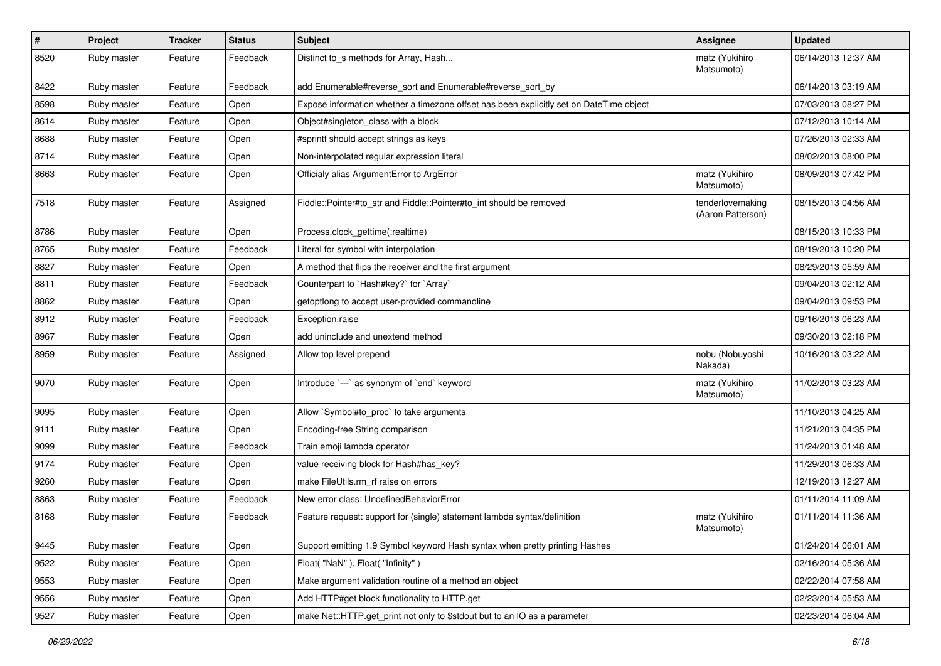| $\pmb{\#}$ | Project     | <b>Tracker</b> | <b>Status</b> | <b>Subject</b>                                                                          | <b>Assignee</b>                       | <b>Updated</b>      |
|------------|-------------|----------------|---------------|-----------------------------------------------------------------------------------------|---------------------------------------|---------------------|
| 8520       | Ruby master | Feature        | Feedback      | Distinct to_s methods for Array, Hash                                                   | matz (Yukihiro<br>Matsumoto)          | 06/14/2013 12:37 AM |
| 8422       | Ruby master | Feature        | Feedback      | add Enumerable#reverse_sort and Enumerable#reverse_sort_by                              |                                       | 06/14/2013 03:19 AM |
| 8598       | Ruby master | Feature        | Open          | Expose information whether a timezone offset has been explicitly set on DateTime object |                                       | 07/03/2013 08:27 PM |
| 8614       | Ruby master | Feature        | Open          | Object#singleton_class with a block                                                     |                                       | 07/12/2013 10:14 AM |
| 8688       | Ruby master | Feature        | Open          | #sprintf should accept strings as keys                                                  |                                       | 07/26/2013 02:33 AM |
| 8714       | Ruby master | Feature        | Open          | Non-interpolated regular expression literal                                             |                                       | 08/02/2013 08:00 PM |
| 8663       | Ruby master | Feature        | Open          | Officialy alias ArgumentError to ArgError                                               | matz (Yukihiro<br>Matsumoto)          | 08/09/2013 07:42 PM |
| 7518       | Ruby master | Feature        | Assigned      | Fiddle::Pointer#to_str and Fiddle::Pointer#to_int should be removed                     | tenderlovemaking<br>(Aaron Patterson) | 08/15/2013 04:56 AM |
| 8786       | Ruby master | Feature        | Open          | Process.clock_gettime(:realtime)                                                        |                                       | 08/15/2013 10:33 PM |
| 8765       | Ruby master | Feature        | Feedback      | Literal for symbol with interpolation                                                   |                                       | 08/19/2013 10:20 PM |
| 8827       | Ruby master | Feature        | Open          | A method that flips the receiver and the first argument                                 |                                       | 08/29/2013 05:59 AM |
| 8811       | Ruby master | Feature        | Feedback      | Counterpart to `Hash#key?` for `Array`                                                  |                                       | 09/04/2013 02:12 AM |
| 8862       | Ruby master | Feature        | Open          | getoptlong to accept user-provided commandline                                          |                                       | 09/04/2013 09:53 PM |
| 8912       | Ruby master | Feature        | Feedback      | Exception.raise                                                                         |                                       | 09/16/2013 06:23 AM |
| 8967       | Ruby master | Feature        | Open          | add uninclude and unextend method                                                       |                                       | 09/30/2013 02:18 PM |
| 8959       | Ruby master | Feature        | Assigned      | Allow top level prepend                                                                 | nobu (Nobuyoshi<br>Nakada)            | 10/16/2013 03:22 AM |
| 9070       | Ruby master | Feature        | Open          | Introduce `---` as synonym of `end` keyword                                             | matz (Yukihiro<br>Matsumoto)          | 11/02/2013 03:23 AM |
| 9095       | Ruby master | Feature        | Open          | Allow `Symbol#to_proc` to take arguments                                                |                                       | 11/10/2013 04:25 AM |
| 9111       | Ruby master | Feature        | Open          | Encoding-free String comparison                                                         |                                       | 11/21/2013 04:35 PM |
| 9099       | Ruby master | Feature        | Feedback      | Train emoji lambda operator                                                             |                                       | 11/24/2013 01:48 AM |
| 9174       | Ruby master | Feature        | Open          | value receiving block for Hash#has_key?                                                 |                                       | 11/29/2013 06:33 AM |
| 9260       | Ruby master | Feature        | Open          | make FileUtils.rm_rf raise on errors                                                    |                                       | 12/19/2013 12:27 AM |
| 8863       | Ruby master | Feature        | Feedback      | New error class: UndefinedBehaviorError                                                 |                                       | 01/11/2014 11:09 AM |
| 8168       | Ruby master | Feature        | Feedback      | Feature request: support for (single) statement lambda syntax/definition                | matz (Yukihiro<br>Matsumoto)          | 01/11/2014 11:36 AM |
| 9445       | Ruby master | Feature        | Open          | Support emitting 1.9 Symbol keyword Hash syntax when pretty printing Hashes             |                                       | 01/24/2014 06:01 AM |
| 9522       | Ruby master | Feature        | Open          | Float("NaN"), Float("Infinity")                                                         |                                       | 02/16/2014 05:36 AM |
| 9553       | Ruby master | Feature        | Open          | Make argument validation routine of a method an object                                  |                                       | 02/22/2014 07:58 AM |
| 9556       | Ruby master | Feature        | Open          | Add HTTP#get block functionality to HTTP.get                                            |                                       | 02/23/2014 05:53 AM |
| 9527       | Ruby master | Feature        | Open          | make Net::HTTP.get_print not only to \$stdout but to an IO as a parameter               |                                       | 02/23/2014 06:04 AM |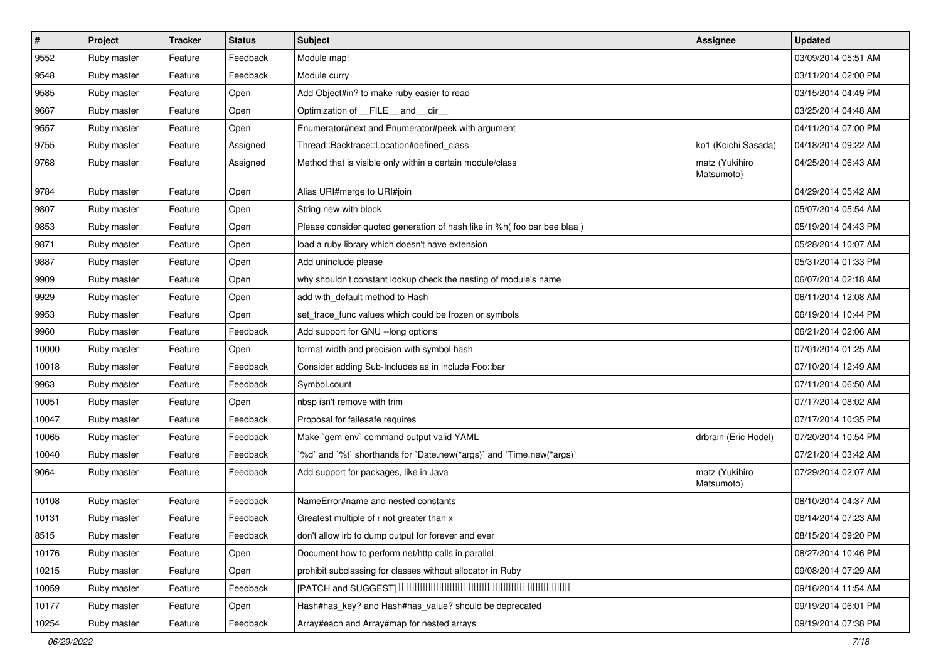| $\vert$ # | Project     | <b>Tracker</b> | <b>Status</b> | Subject                                                                  | <b>Assignee</b>              | <b>Updated</b>      |
|-----------|-------------|----------------|---------------|--------------------------------------------------------------------------|------------------------------|---------------------|
| 9552      | Ruby master | Feature        | Feedback      | Module map!                                                              |                              | 03/09/2014 05:51 AM |
| 9548      | Ruby master | Feature        | Feedback      | Module curry                                                             |                              | 03/11/2014 02:00 PM |
| 9585      | Ruby master | Feature        | Open          | Add Object#in? to make ruby easier to read                               |                              | 03/15/2014 04:49 PM |
| 9667      | Ruby master | Feature        | Open          | Optimization of FILE_and _dir                                            |                              | 03/25/2014 04:48 AM |
| 9557      | Ruby master | Feature        | Open          | Enumerator#next and Enumerator#peek with argument                        |                              | 04/11/2014 07:00 PM |
| 9755      | Ruby master | Feature        | Assigned      | Thread::Backtrace::Location#defined_class                                | ko1 (Koichi Sasada)          | 04/18/2014 09:22 AM |
| 9768      | Ruby master | Feature        | Assigned      | Method that is visible only within a certain module/class                | matz (Yukihiro<br>Matsumoto) | 04/25/2014 06:43 AM |
| 9784      | Ruby master | Feature        | Open          | Alias URI#merge to URI#join                                              |                              | 04/29/2014 05:42 AM |
| 9807      | Ruby master | Feature        | Open          | String.new with block                                                    |                              | 05/07/2014 05:54 AM |
| 9853      | Ruby master | Feature        | Open          | Please consider quoted generation of hash like in %h( foo bar bee blaa ) |                              | 05/19/2014 04:43 PM |
| 9871      | Ruby master | Feature        | Open          | load a ruby library which doesn't have extension                         |                              | 05/28/2014 10:07 AM |
| 9887      | Ruby master | Feature        | Open          | Add uninclude please                                                     |                              | 05/31/2014 01:33 PM |
| 9909      | Ruby master | Feature        | Open          | why shouldn't constant lookup check the nesting of module's name         |                              | 06/07/2014 02:18 AM |
| 9929      | Ruby master | Feature        | Open          | add with_default method to Hash                                          |                              | 06/11/2014 12:08 AM |
| 9953      | Ruby master | Feature        | Open          | set_trace_func values which could be frozen or symbols                   |                              | 06/19/2014 10:44 PM |
| 9960      | Ruby master | Feature        | Feedback      | Add support for GNU --long options                                       |                              | 06/21/2014 02:06 AM |
| 10000     | Ruby master | Feature        | Open          | format width and precision with symbol hash                              |                              | 07/01/2014 01:25 AM |
| 10018     | Ruby master | Feature        | Feedback      | Consider adding Sub-Includes as in include Foo::bar                      |                              | 07/10/2014 12:49 AM |
| 9963      | Ruby master | Feature        | Feedback      | Symbol.count                                                             |                              | 07/11/2014 06:50 AM |
| 10051     | Ruby master | Feature        | Open          | nbsp isn't remove with trim                                              |                              | 07/17/2014 08:02 AM |
| 10047     | Ruby master | Feature        | Feedback      | Proposal for failesafe requires                                          |                              | 07/17/2014 10:35 PM |
| 10065     | Ruby master | Feature        | Feedback      | Make `gem env` command output valid YAML                                 | drbrain (Eric Hodel)         | 07/20/2014 10:54 PM |
| 10040     | Ruby master | Feature        | Feedback      | '%d' and '%t' shorthands for 'Date.new(*args)' and 'Time.new(*args)'     |                              | 07/21/2014 03:42 AM |
| 9064      | Ruby master | Feature        | Feedback      | Add support for packages, like in Java                                   | matz (Yukihiro<br>Matsumoto) | 07/29/2014 02:07 AM |
| 10108     | Ruby master | Feature        | Feedback      | NameError#name and nested constants                                      |                              | 08/10/2014 04:37 AM |
| 10131     | Ruby master | Feature        | Feedback      | Greatest multiple of r not greater than x                                |                              | 08/14/2014 07:23 AM |
| 8515      | Ruby master | Feature        | Feedback      | don't allow irb to dump output for forever and ever                      |                              | 08/15/2014 09:20 PM |
| 10176     | Ruby master | Feature        | Open          | Document how to perform net/http calls in parallel                       |                              | 08/27/2014 10:46 PM |
| 10215     | Ruby master | Feature        | Open          | prohibit subclassing for classes without allocator in Ruby               |                              | 09/08/2014 07:29 AM |
| 10059     | Ruby master | Feature        | Feedback      | [PATCH and SUGGEST] 0000000000000000000000000000000                      |                              | 09/16/2014 11:54 AM |
| 10177     | Ruby master | Feature        | Open          | Hash#has_key? and Hash#has_value? should be deprecated                   |                              | 09/19/2014 06:01 PM |
| 10254     | Ruby master | Feature        | Feedback      | Array#each and Array#map for nested arrays                               |                              | 09/19/2014 07:38 PM |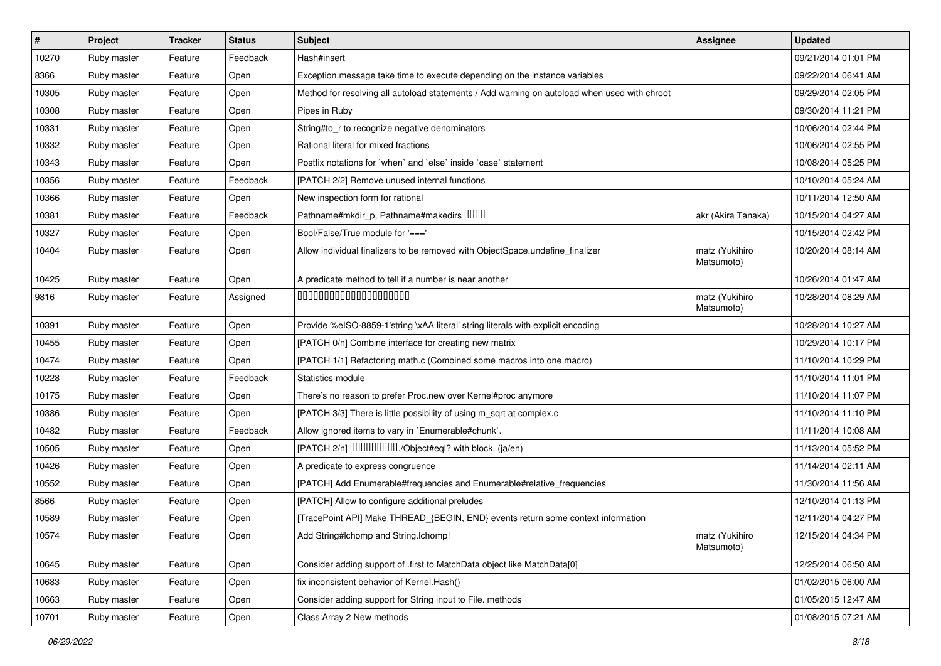| $\vert$ # | Project     | <b>Tracker</b> | <b>Status</b> | Subject                                                                                      | <b>Assignee</b>              | <b>Updated</b>      |
|-----------|-------------|----------------|---------------|----------------------------------------------------------------------------------------------|------------------------------|---------------------|
| 10270     | Ruby master | Feature        | Feedback      | Hash#insert                                                                                  |                              | 09/21/2014 01:01 PM |
| 8366      | Ruby master | Feature        | Open          | Exception.message take time to execute depending on the instance variables                   |                              | 09/22/2014 06:41 AM |
| 10305     | Ruby master | Feature        | Open          | Method for resolving all autoload statements / Add warning on autoload when used with chroot |                              | 09/29/2014 02:05 PM |
| 10308     | Ruby master | Feature        | Open          | Pipes in Ruby                                                                                |                              | 09/30/2014 11:21 PM |
| 10331     | Ruby master | Feature        | Open          | String#to_r to recognize negative denominators                                               |                              | 10/06/2014 02:44 PM |
| 10332     | Ruby master | Feature        | Open          | Rational literal for mixed fractions                                                         |                              | 10/06/2014 02:55 PM |
| 10343     | Ruby master | Feature        | Open          | Postfix notations for 'when' and 'else' inside 'case' statement                              |                              | 10/08/2014 05:25 PM |
| 10356     | Ruby master | Feature        | Feedback      | [PATCH 2/2] Remove unused internal functions                                                 |                              | 10/10/2014 05:24 AM |
| 10366     | Ruby master | Feature        | Open          | New inspection form for rational                                                             |                              | 10/11/2014 12:50 AM |
| 10381     | Ruby master | Feature        | Feedback      | Pathname#mkdir_p, Pathname#makedirs UUUU                                                     | akr (Akira Tanaka)           | 10/15/2014 04:27 AM |
| 10327     | Ruby master | Feature        | Open          | Bool/False/True module for '==='                                                             |                              | 10/15/2014 02:42 PM |
| 10404     | Ruby master | Feature        | Open          | Allow individual finalizers to be removed with ObjectSpace.undefine_finalizer                | matz (Yukihiro<br>Matsumoto) | 10/20/2014 08:14 AM |
| 10425     | Ruby master | Feature        | Open          | A predicate method to tell if a number is near another                                       |                              | 10/26/2014 01:47 AM |
| 9816      | Ruby master | Feature        | Assigned      | 00000000000000000000                                                                         | matz (Yukihiro<br>Matsumoto) | 10/28/2014 08:29 AM |
| 10391     | Ruby master | Feature        | Open          | Provide %eISO-8859-1'string \xAA literal' string literals with explicit encoding             |                              | 10/28/2014 10:27 AM |
| 10455     | Ruby master | Feature        | Open          | [PATCH 0/n] Combine interface for creating new matrix                                        |                              | 10/29/2014 10:17 PM |
| 10474     | Ruby master | Feature        | Open          | [PATCH 1/1] Refactoring math.c (Combined some macros into one macro)                         |                              | 11/10/2014 10:29 PM |
| 10228     | Ruby master | Feature        | Feedback      | Statistics module                                                                            |                              | 11/10/2014 11:01 PM |
| 10175     | Ruby master | Feature        | Open          | There's no reason to prefer Proc.new over Kernel#proc anymore                                |                              | 11/10/2014 11:07 PM |
| 10386     | Ruby master | Feature        | Open          | [PATCH 3/3] There is little possibility of using m_sqrt at complex.c                         |                              | 11/10/2014 11:10 PM |
| 10482     | Ruby master | Feature        | Feedback      | Allow ignored items to vary in `Enumerable#chunk`.                                           |                              | 11/11/2014 10:08 AM |
| 10505     | Ruby master | Feature        | Open          | [PATCH 2/n] DDDDDDDD./Object#eql? with block. (ja/en)                                        |                              | 11/13/2014 05:52 PM |
| 10426     | Ruby master | Feature        | Open          | A predicate to express congruence                                                            |                              | 11/14/2014 02:11 AM |
| 10552     | Ruby master | Feature        | Open          | [PATCH] Add Enumerable#frequencies and Enumerable#relative_frequencies                       |                              | 11/30/2014 11:56 AM |
| 8566      | Ruby master | Feature        | Open          | [PATCH] Allow to configure additional preludes                                               |                              | 12/10/2014 01:13 PM |
| 10589     | Ruby master | Feature        | Open          | [TracePoint API] Make THREAD_{BEGIN, END} events return some context information             |                              | 12/11/2014 04:27 PM |
| 10574     | Ruby master | Feature        | Open          | Add String#Ichomp and String.Ichomp!                                                         | matz (Yukihiro<br>Matsumoto) | 12/15/2014 04:34 PM |
| 10645     | Ruby master | Feature        | Open          | Consider adding support of .first to MatchData object like MatchData[0]                      |                              | 12/25/2014 06:50 AM |
| 10683     | Ruby master | Feature        | Open          | fix inconsistent behavior of Kernel. Hash()                                                  |                              | 01/02/2015 06:00 AM |
| 10663     | Ruby master | Feature        | Open          | Consider adding support for String input to File. methods                                    |                              | 01/05/2015 12:47 AM |
| 10701     | Ruby master | Feature        | Open          | Class: Array 2 New methods                                                                   |                              | 01/08/2015 07:21 AM |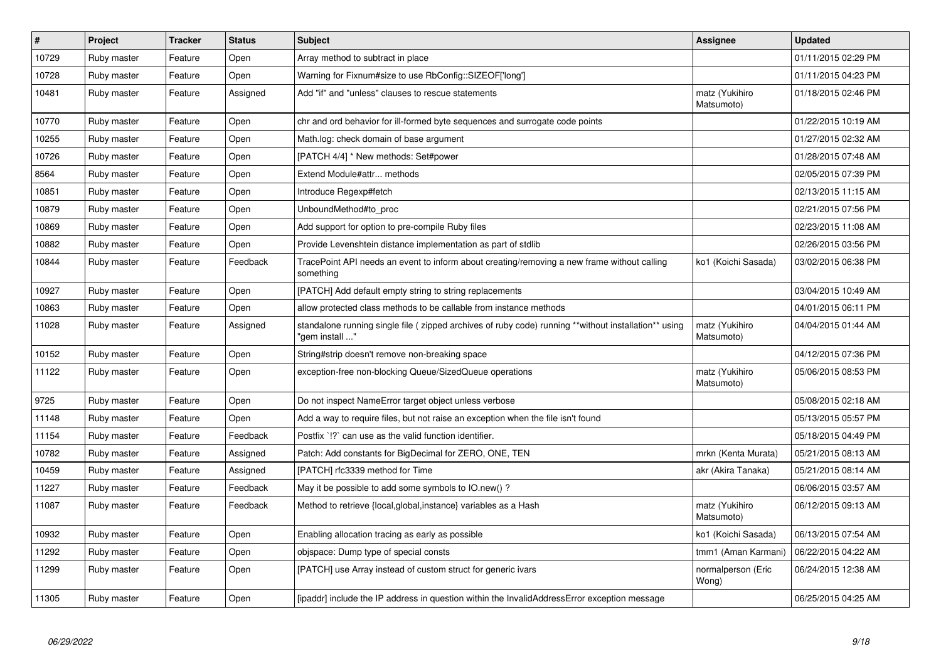| $\pmb{\#}$ | Project     | <b>Tracker</b> | <b>Status</b> | <b>Subject</b>                                                                                                          | <b>Assignee</b>              | <b>Updated</b>      |
|------------|-------------|----------------|---------------|-------------------------------------------------------------------------------------------------------------------------|------------------------------|---------------------|
| 10729      | Ruby master | Feature        | Open          | Array method to subtract in place                                                                                       |                              | 01/11/2015 02:29 PM |
| 10728      | Ruby master | Feature        | Open          | Warning for Fixnum#size to use RbConfig::SIZEOF['long']                                                                 |                              | 01/11/2015 04:23 PM |
| 10481      | Ruby master | Feature        | Assigned      | Add "if" and "unless" clauses to rescue statements                                                                      | matz (Yukihiro<br>Matsumoto) | 01/18/2015 02:46 PM |
| 10770      | Ruby master | Feature        | Open          | chr and ord behavior for ill-formed byte sequences and surrogate code points                                            |                              | 01/22/2015 10:19 AM |
| 10255      | Ruby master | Feature        | Open          | Math.log: check domain of base argument                                                                                 |                              | 01/27/2015 02:32 AM |
| 10726      | Ruby master | Feature        | Open          | [PATCH 4/4] * New methods: Set#power                                                                                    |                              | 01/28/2015 07:48 AM |
| 8564       | Ruby master | Feature        | Open          | Extend Module#attr methods                                                                                              |                              | 02/05/2015 07:39 PM |
| 10851      | Ruby master | Feature        | Open          | Introduce Regexp#fetch                                                                                                  |                              | 02/13/2015 11:15 AM |
| 10879      | Ruby master | Feature        | Open          | UnboundMethod#to proc                                                                                                   |                              | 02/21/2015 07:56 PM |
| 10869      | Ruby master | Feature        | Open          | Add support for option to pre-compile Ruby files                                                                        |                              | 02/23/2015 11:08 AM |
| 10882      | Ruby master | Feature        | Open          | Provide Levenshtein distance implementation as part of stdlib                                                           |                              | 02/26/2015 03:56 PM |
| 10844      | Ruby master | Feature        | Feedback      | TracePoint API needs an event to inform about creating/removing a new frame without calling<br>something                | ko1 (Koichi Sasada)          | 03/02/2015 06:38 PM |
| 10927      | Ruby master | Feature        | Open          | [PATCH] Add default empty string to string replacements                                                                 |                              | 03/04/2015 10:49 AM |
| 10863      | Ruby master | Feature        | Open          | allow protected class methods to be callable from instance methods                                                      |                              | 04/01/2015 06:11 PM |
| 11028      | Ruby master | Feature        | Assigned      | standalone running single file ( zipped archives of ruby code) running **without installation** using<br>"gem install " | matz (Yukihiro<br>Matsumoto) | 04/04/2015 01:44 AM |
| 10152      | Ruby master | Feature        | Open          | String#strip doesn't remove non-breaking space                                                                          |                              | 04/12/2015 07:36 PM |
| 11122      | Ruby master | Feature        | Open          | exception-free non-blocking Queue/SizedQueue operations                                                                 | matz (Yukihiro<br>Matsumoto) | 05/06/2015 08:53 PM |
| 9725       | Ruby master | Feature        | Open          | Do not inspect NameError target object unless verbose                                                                   |                              | 05/08/2015 02:18 AM |
| 11148      | Ruby master | Feature        | Open          | Add a way to require files, but not raise an exception when the file isn't found                                        |                              | 05/13/2015 05:57 PM |
| 11154      | Ruby master | Feature        | Feedback      | Postfix '!?' can use as the valid function identifier.                                                                  |                              | 05/18/2015 04:49 PM |
| 10782      | Ruby master | Feature        | Assigned      | Patch: Add constants for BigDecimal for ZERO, ONE, TEN                                                                  | mrkn (Kenta Murata)          | 05/21/2015 08:13 AM |
| 10459      | Ruby master | Feature        | Assigned      | [PATCH] rfc3339 method for Time                                                                                         | akr (Akira Tanaka)           | 05/21/2015 08:14 AM |
| 11227      | Ruby master | Feature        | Feedback      | May it be possible to add some symbols to IO.new()?                                                                     |                              | 06/06/2015 03:57 AM |
| 11087      | Ruby master | Feature        | Feedback      | Method to retrieve {local, global, instance} variables as a Hash                                                        | matz (Yukihiro<br>Matsumoto) | 06/12/2015 09:13 AM |
| 10932      | Ruby master | Feature        | Open          | Enabling allocation tracing as early as possible                                                                        | ko1 (Koichi Sasada)          | 06/13/2015 07:54 AM |
| 11292      | Ruby master | Feature        | Open          | objspace: Dump type of special consts                                                                                   | tmm1 (Aman Karmani)          | 06/22/2015 04:22 AM |
| 11299      | Ruby master | Feature        | Open          | [PATCH] use Array instead of custom struct for generic ivars                                                            | normalperson (Eric<br>Wong)  | 06/24/2015 12:38 AM |
| 11305      | Ruby master | Feature        | Open          | [ipaddr] include the IP address in question within the InvalidAddressError exception message                            |                              | 06/25/2015 04:25 AM |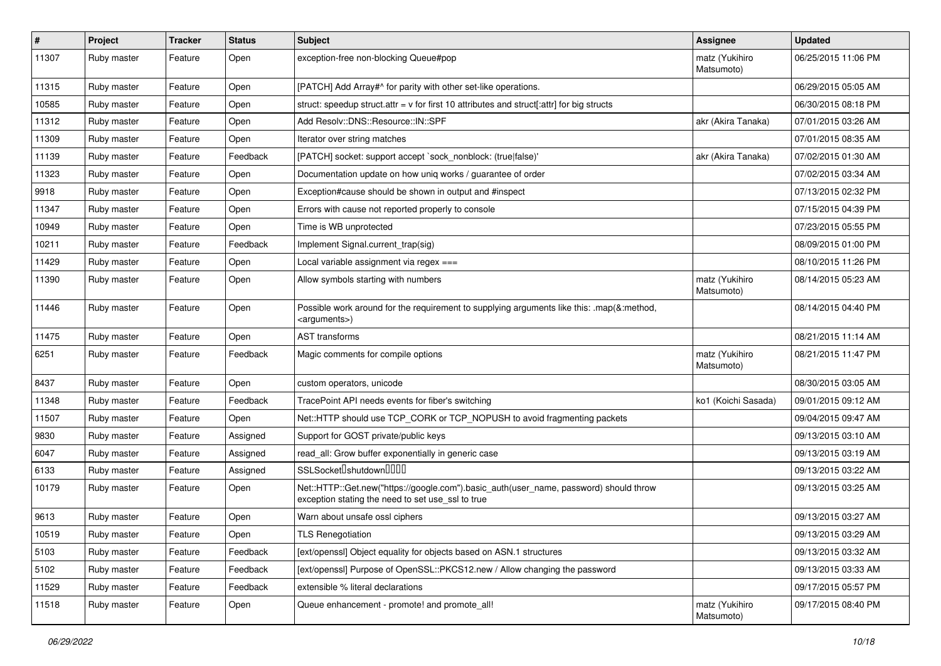| $\vert$ # | Project     | <b>Tracker</b> | <b>Status</b> | <b>Subject</b>                                                                                                                             | <b>Assignee</b>              | <b>Updated</b>      |
|-----------|-------------|----------------|---------------|--------------------------------------------------------------------------------------------------------------------------------------------|------------------------------|---------------------|
| 11307     | Ruby master | Feature        | Open          | exception-free non-blocking Queue#pop                                                                                                      | matz (Yukihiro<br>Matsumoto) | 06/25/2015 11:06 PM |
| 11315     | Ruby master | Feature        | Open          | [PATCH] Add Array#^ for parity with other set-like operations.                                                                             |                              | 06/29/2015 05:05 AM |
| 10585     | Ruby master | Feature        | Open          | struct: speedup struct.attr = $v$ for first 10 attributes and struct[:attr] for big structs                                                |                              | 06/30/2015 08:18 PM |
| 11312     | Ruby master | Feature        | Open          | Add Resolv::DNS::Resource::IN::SPF                                                                                                         | akr (Akira Tanaka)           | 07/01/2015 03:26 AM |
| 11309     | Ruby master | Feature        | Open          | Iterator over string matches                                                                                                               |                              | 07/01/2015 08:35 AM |
| 11139     | Ruby master | Feature        | Feedback      | [PATCH] socket: support accept `sock_nonblock: (true false)'                                                                               | akr (Akira Tanaka)           | 07/02/2015 01:30 AM |
| 11323     | Ruby master | Feature        | Open          | Documentation update on how uniq works / guarantee of order                                                                                |                              | 07/02/2015 03:34 AM |
| 9918      | Ruby master | Feature        | Open          | Exception#cause should be shown in output and #inspect                                                                                     |                              | 07/13/2015 02:32 PM |
| 11347     | Ruby master | Feature        | Open          | Errors with cause not reported properly to console                                                                                         |                              | 07/15/2015 04:39 PM |
| 10949     | Ruby master | Feature        | Open          | Time is WB unprotected                                                                                                                     |                              | 07/23/2015 05:55 PM |
| 10211     | Ruby master | Feature        | Feedback      | Implement Signal.current_trap(sig)                                                                                                         |                              | 08/09/2015 01:00 PM |
| 11429     | Ruby master | Feature        | Open          | Local variable assignment via regex $==$                                                                                                   |                              | 08/10/2015 11:26 PM |
| 11390     | Ruby master | Feature        | Open          | Allow symbols starting with numbers                                                                                                        | matz (Yukihiro<br>Matsumoto) | 08/14/2015 05:23 AM |
| 11446     | Ruby master | Feature        | Open          | Possible work around for the requirement to supplying arguments like this: .map(&:method,<br><arguments>)</arguments>                      |                              | 08/14/2015 04:40 PM |
| 11475     | Ruby master | Feature        | Open          | <b>AST</b> transforms                                                                                                                      |                              | 08/21/2015 11:14 AM |
| 6251      | Ruby master | Feature        | Feedback      | Magic comments for compile options                                                                                                         | matz (Yukihiro<br>Matsumoto) | 08/21/2015 11:47 PM |
| 8437      | Ruby master | Feature        | Open          | custom operators, unicode                                                                                                                  |                              | 08/30/2015 03:05 AM |
| 11348     | Ruby master | Feature        | Feedback      | TracePoint API needs events for fiber's switching                                                                                          | ko1 (Koichi Sasada)          | 09/01/2015 09:12 AM |
| 11507     | Ruby master | Feature        | Open          | Net::HTTP should use TCP_CORK or TCP_NOPUSH to avoid fragmenting packets                                                                   |                              | 09/04/2015 09:47 AM |
| 9830      | Ruby master | Feature        | Assigned      | Support for GOST private/public keys                                                                                                       |                              | 09/13/2015 03:10 AM |
| 6047      | Ruby master | Feature        | Assigned      | read_all: Grow buffer exponentially in generic case                                                                                        |                              | 09/13/2015 03:19 AM |
| 6133      | Ruby master | Feature        | Assigned      | SSLSocket <sup>[</sup> shutdown <sup>[11]</sup>                                                                                            |                              | 09/13/2015 03:22 AM |
| 10179     | Ruby master | Feature        | Open          | Net::HTTP::Get.new("https://google.com").basic_auth(user_name, password) should throw<br>exception stating the need to set use_ssl to true |                              | 09/13/2015 03:25 AM |
| 9613      | Ruby master | Feature        | Open          | Warn about unsafe ossl ciphers                                                                                                             |                              | 09/13/2015 03:27 AM |
| 10519     | Ruby master | Feature        | Open          | <b>TLS Renegotiation</b>                                                                                                                   |                              | 09/13/2015 03:29 AM |
| 5103      | Ruby master | Feature        | Feedback      | [ext/openssl] Object equality for objects based on ASN.1 structures                                                                        |                              | 09/13/2015 03:32 AM |
| 5102      | Ruby master | Feature        | Feedback      | [ext/openssl] Purpose of OpenSSL::PKCS12.new / Allow changing the password                                                                 |                              | 09/13/2015 03:33 AM |
| 11529     | Ruby master | Feature        | Feedback      | extensible % literal declarations                                                                                                          |                              | 09/17/2015 05:57 PM |
| 11518     | Ruby master | Feature        | Open          | Queue enhancement - promote! and promote_all!                                                                                              | matz (Yukihiro<br>Matsumoto) | 09/17/2015 08:40 PM |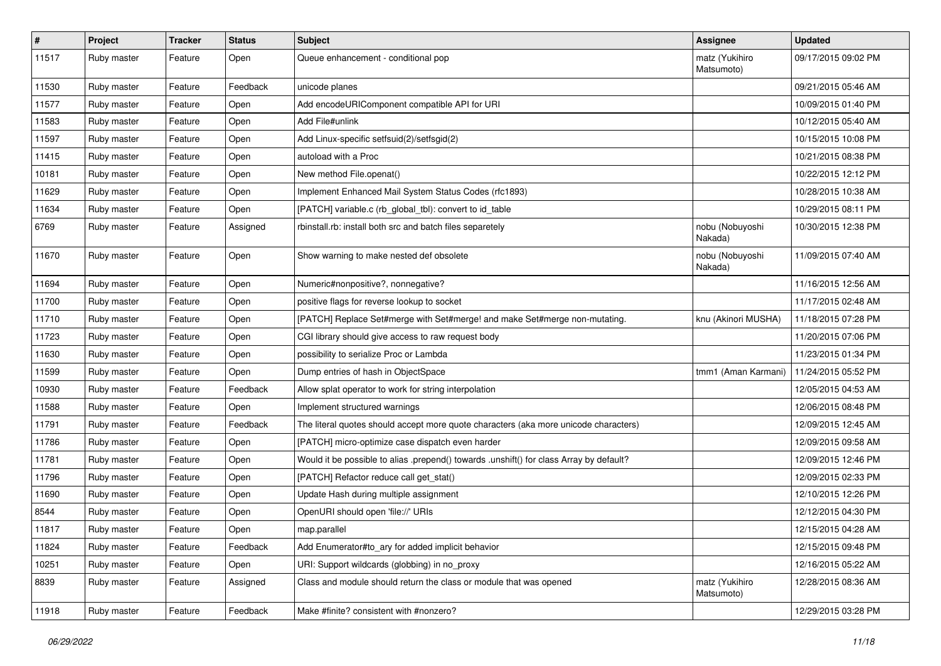| $\vert$ # | Project     | <b>Tracker</b> | <b>Status</b> | Subject                                                                                 | <b>Assignee</b>              | <b>Updated</b>      |
|-----------|-------------|----------------|---------------|-----------------------------------------------------------------------------------------|------------------------------|---------------------|
| 11517     | Ruby master | Feature        | Open          | Queue enhancement - conditional pop                                                     | matz (Yukihiro<br>Matsumoto) | 09/17/2015 09:02 PM |
| 11530     | Ruby master | Feature        | Feedback      | unicode planes                                                                          |                              | 09/21/2015 05:46 AM |
| 11577     | Ruby master | Feature        | Open          | Add encodeURIComponent compatible API for URI                                           |                              | 10/09/2015 01:40 PM |
| 11583     | Ruby master | Feature        | Open          | Add File#unlink                                                                         |                              | 10/12/2015 05:40 AM |
| 11597     | Ruby master | Feature        | Open          | Add Linux-specific setfsuid(2)/setfsgid(2)                                              |                              | 10/15/2015 10:08 PM |
| 11415     | Ruby master | Feature        | Open          | autoload with a Proc                                                                    |                              | 10/21/2015 08:38 PM |
| 10181     | Ruby master | Feature        | Open          | New method File.openat()                                                                |                              | 10/22/2015 12:12 PM |
| 11629     | Ruby master | Feature        | Open          | Implement Enhanced Mail System Status Codes (rfc1893)                                   |                              | 10/28/2015 10:38 AM |
| 11634     | Ruby master | Feature        | Open          | [PATCH] variable.c (rb_global_tbl): convert to id_table                                 |                              | 10/29/2015 08:11 PM |
| 6769      | Ruby master | Feature        | Assigned      | rbinstall.rb: install both src and batch files separetely                               | nobu (Nobuyoshi<br>Nakada)   | 10/30/2015 12:38 PM |
| 11670     | Ruby master | Feature        | Open          | Show warning to make nested def obsolete                                                | nobu (Nobuyoshi<br>Nakada)   | 11/09/2015 07:40 AM |
| 11694     | Ruby master | Feature        | Open          | Numeric#nonpositive?, nonnegative?                                                      |                              | 11/16/2015 12:56 AM |
| 11700     | Ruby master | Feature        | Open          | positive flags for reverse lookup to socket                                             |                              | 11/17/2015 02:48 AM |
| 11710     | Ruby master | Feature        | Open          | [PATCH] Replace Set#merge with Set#merge! and make Set#merge non-mutating.              | knu (Akinori MUSHA)          | 11/18/2015 07:28 PM |
| 11723     | Ruby master | Feature        | Open          | CGI library should give access to raw request body                                      |                              | 11/20/2015 07:06 PM |
| 11630     | Ruby master | Feature        | Open          | possibility to serialize Proc or Lambda                                                 |                              | 11/23/2015 01:34 PM |
| 11599     | Ruby master | Feature        | Open          | Dump entries of hash in ObjectSpace                                                     | tmm1 (Aman Karmani)          | 11/24/2015 05:52 PM |
| 10930     | Ruby master | Feature        | Feedback      | Allow splat operator to work for string interpolation                                   |                              | 12/05/2015 04:53 AM |
| 11588     | Ruby master | Feature        | Open          | Implement structured warnings                                                           |                              | 12/06/2015 08:48 PM |
| 11791     | Ruby master | Feature        | Feedback      | The literal quotes should accept more quote characters (aka more unicode characters)    |                              | 12/09/2015 12:45 AM |
| 11786     | Ruby master | Feature        | Open          | [PATCH] micro-optimize case dispatch even harder                                        |                              | 12/09/2015 09:58 AM |
| 11781     | Ruby master | Feature        | Open          | Would it be possible to alias .prepend() towards .unshift() for class Array by default? |                              | 12/09/2015 12:46 PM |
| 11796     | Ruby master | Feature        | Open          | [PATCH] Refactor reduce call get_stat()                                                 |                              | 12/09/2015 02:33 PM |
| 11690     | Ruby master | Feature        | Open          | Update Hash during multiple assignment                                                  |                              | 12/10/2015 12:26 PM |
| 8544      | Ruby master | Feature        | Open          | OpenURI should open 'file://' URIs                                                      |                              | 12/12/2015 04:30 PM |
| 11817     | Ruby master | Feature        | Open          | map.parallel                                                                            |                              | 12/15/2015 04:28 AM |
| 11824     | Ruby master | Feature        | Feedback      | Add Enumerator#to ary for added implicit behavior                                       |                              | 12/15/2015 09:48 PM |
| 10251     | Ruby master | Feature        | Open          | URI: Support wildcards (globbing) in no_proxy                                           |                              | 12/16/2015 05:22 AM |
| 8839      | Ruby master | Feature        | Assigned      | Class and module should return the class or module that was opened                      | matz (Yukihiro<br>Matsumoto) | 12/28/2015 08:36 AM |
| 11918     | Ruby master | Feature        | Feedback      | Make #finite? consistent with #nonzero?                                                 |                              | 12/29/2015 03:28 PM |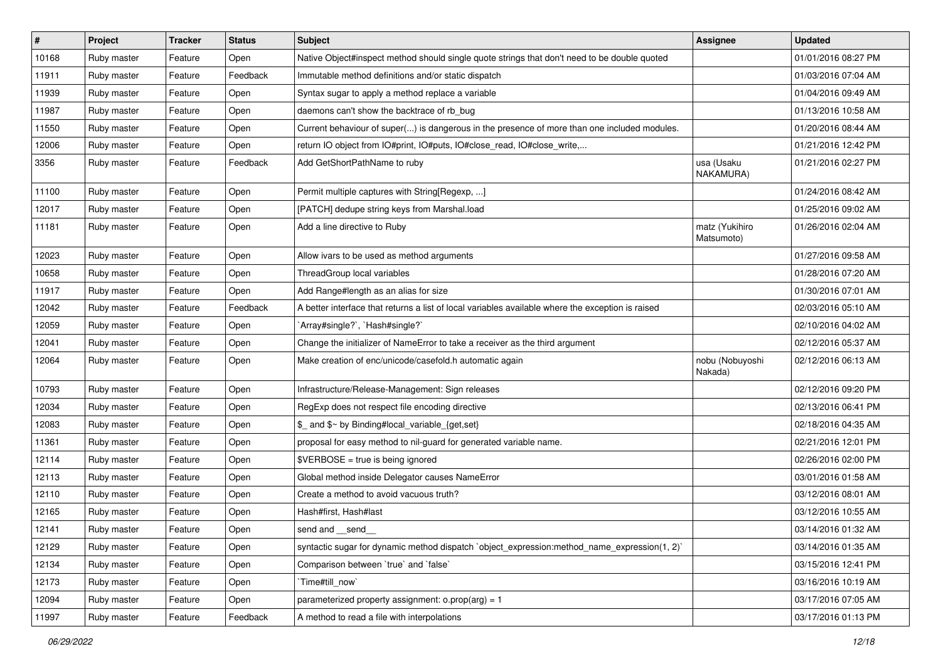| $\vert$ # | Project     | <b>Tracker</b> | <b>Status</b> | <b>Subject</b>                                                                                    | Assignee                     | <b>Updated</b>      |
|-----------|-------------|----------------|---------------|---------------------------------------------------------------------------------------------------|------------------------------|---------------------|
| 10168     | Ruby master | Feature        | Open          | Native Object#inspect method should single quote strings that don't need to be double quoted      |                              | 01/01/2016 08:27 PM |
| 11911     | Ruby master | Feature        | Feedback      | Immutable method definitions and/or static dispatch                                               |                              | 01/03/2016 07:04 AM |
| 11939     | Ruby master | Feature        | Open          | Syntax sugar to apply a method replace a variable                                                 |                              | 01/04/2016 09:49 AM |
| 11987     | Ruby master | Feature        | Open          | daemons can't show the backtrace of rb_bug                                                        |                              | 01/13/2016 10:58 AM |
| 11550     | Ruby master | Feature        | Open          | Current behaviour of super() is dangerous in the presence of more than one included modules.      |                              | 01/20/2016 08:44 AM |
| 12006     | Ruby master | Feature        | Open          | return IO object from IO#print, IO#puts, IO#close_read, IO#close_write,                           |                              | 01/21/2016 12:42 PM |
| 3356      | Ruby master | Feature        | Feedback      | Add GetShortPathName to ruby                                                                      | usa (Usaku<br>NAKAMURA)      | 01/21/2016 02:27 PM |
| 11100     | Ruby master | Feature        | Open          | Permit multiple captures with String[Regexp, ]                                                    |                              | 01/24/2016 08:42 AM |
| 12017     | Ruby master | Feature        | Open          | [PATCH] dedupe string keys from Marshal.load                                                      |                              | 01/25/2016 09:02 AM |
| 11181     | Ruby master | Feature        | Open          | Add a line directive to Ruby                                                                      | matz (Yukihiro<br>Matsumoto) | 01/26/2016 02:04 AM |
| 12023     | Ruby master | Feature        | Open          | Allow ivars to be used as method arguments                                                        |                              | 01/27/2016 09:58 AM |
| 10658     | Ruby master | Feature        | Open          | ThreadGroup local variables                                                                       |                              | 01/28/2016 07:20 AM |
| 11917     | Ruby master | Feature        | Open          | Add Range#length as an alias for size                                                             |                              | 01/30/2016 07:01 AM |
| 12042     | Ruby master | Feature        | Feedback      | A better interface that returns a list of local variables available where the exception is raised |                              | 02/03/2016 05:10 AM |
| 12059     | Ruby master | Feature        | Open          | `Array#single?`, `Hash#single?`                                                                   |                              | 02/10/2016 04:02 AM |
| 12041     | Ruby master | Feature        | Open          | Change the initializer of NameError to take a receiver as the third argument                      |                              | 02/12/2016 05:37 AM |
| 12064     | Ruby master | Feature        | Open          | Make creation of enc/unicode/casefold.h automatic again                                           | nobu (Nobuyoshi<br>Nakada)   | 02/12/2016 06:13 AM |
| 10793     | Ruby master | Feature        | Open          | Infrastructure/Release-Management: Sign releases                                                  |                              | 02/12/2016 09:20 PM |
| 12034     | Ruby master | Feature        | Open          | RegExp does not respect file encoding directive                                                   |                              | 02/13/2016 06:41 PM |
| 12083     | Ruby master | Feature        | Open          | \$_ and \$~ by Binding#local_variable_{get,set}                                                   |                              | 02/18/2016 04:35 AM |
| 11361     | Ruby master | Feature        | Open          | proposal for easy method to nil-guard for generated variable name.                                |                              | 02/21/2016 12:01 PM |
| 12114     | Ruby master | Feature        | Open          | \$VERBOSE = true is being ignored                                                                 |                              | 02/26/2016 02:00 PM |
| 12113     | Ruby master | Feature        | Open          | Global method inside Delegator causes NameError                                                   |                              | 03/01/2016 01:58 AM |
| 12110     | Ruby master | Feature        | Open          | Create a method to avoid vacuous truth?                                                           |                              | 03/12/2016 08:01 AM |
| 12165     | Ruby master | Feature        | Open          | Hash#first, Hash#last                                                                             |                              | 03/12/2016 10:55 AM |
| 12141     | Ruby master | Feature        | Open          | send and __send_                                                                                  |                              | 03/14/2016 01:32 AM |
| 12129     | Ruby master | Feature        | Open          | syntactic sugar for dynamic method dispatch `object expression: method name expression(1, 2)`     |                              | 03/14/2016 01:35 AM |
| 12134     | Ruby master | Feature        | Open          | Comparison between 'true' and 'false'                                                             |                              | 03/15/2016 12:41 PM |
| 12173     | Ruby master | Feature        | Open          | Time#till now`                                                                                    |                              | 03/16/2016 10:19 AM |
| 12094     | Ruby master | Feature        | Open          | parameterized property assignment: $o.prop(arg) = 1$                                              |                              | 03/17/2016 07:05 AM |
| 11997     | Ruby master | Feature        | Feedback      | A method to read a file with interpolations                                                       |                              | 03/17/2016 01:13 PM |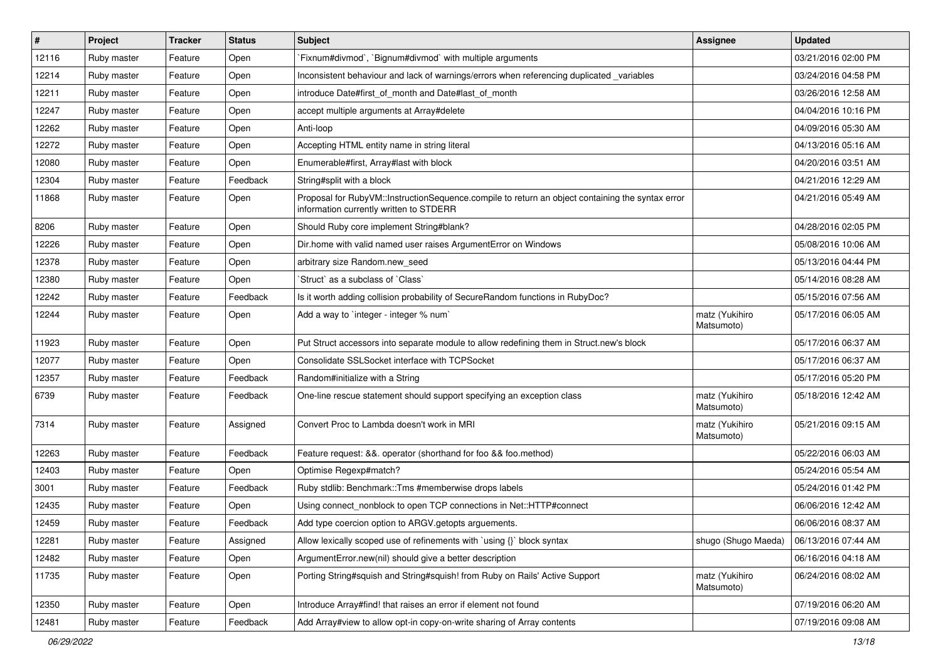| $\vert$ # | Project     | <b>Tracker</b> | <b>Status</b> | Subject                                                                                                                                     | Assignee                     | <b>Updated</b>      |
|-----------|-------------|----------------|---------------|---------------------------------------------------------------------------------------------------------------------------------------------|------------------------------|---------------------|
| 12116     | Ruby master | Feature        | Open          | Fixnum#divmod`, `Bignum#divmod` with multiple arguments                                                                                     |                              | 03/21/2016 02:00 PM |
| 12214     | Ruby master | Feature        | Open          | Inconsistent behaviour and lack of warnings/errors when referencing duplicated _variables                                                   |                              | 03/24/2016 04:58 PM |
| 12211     | Ruby master | Feature        | Open          | introduce Date#first of month and Date#last of month                                                                                        |                              | 03/26/2016 12:58 AM |
| 12247     | Ruby master | Feature        | Open          | accept multiple arguments at Array#delete                                                                                                   |                              | 04/04/2016 10:16 PM |
| 12262     | Ruby master | Feature        | Open          | Anti-loop                                                                                                                                   |                              | 04/09/2016 05:30 AM |
| 12272     | Ruby master | Feature        | Open          | Accepting HTML entity name in string literal                                                                                                |                              | 04/13/2016 05:16 AM |
| 12080     | Ruby master | Feature        | Open          | Enumerable#first, Array#last with block                                                                                                     |                              | 04/20/2016 03:51 AM |
| 12304     | Ruby master | Feature        | Feedback      | String#split with a block                                                                                                                   |                              | 04/21/2016 12:29 AM |
| 11868     | Ruby master | Feature        | Open          | Proposal for RubyVM::InstructionSequence.compile to return an object containing the syntax error<br>information currently written to STDERR |                              | 04/21/2016 05:49 AM |
| 8206      | Ruby master | Feature        | Open          | Should Ruby core implement String#blank?                                                                                                    |                              | 04/28/2016 02:05 PM |
| 12226     | Ruby master | Feature        | Open          | Dir.home with valid named user raises ArgumentError on Windows                                                                              |                              | 05/08/2016 10:06 AM |
| 12378     | Ruby master | Feature        | Open          | arbitrary size Random.new_seed                                                                                                              |                              | 05/13/2016 04:44 PM |
| 12380     | Ruby master | Feature        | Open          | Struct as a subclass of `Class`                                                                                                             |                              | 05/14/2016 08:28 AM |
| 12242     | Ruby master | Feature        | Feedback      | Is it worth adding collision probability of SecureRandom functions in RubyDoc?                                                              |                              | 05/15/2016 07:56 AM |
| 12244     | Ruby master | Feature        | Open          | Add a way to 'integer - integer % num'                                                                                                      | matz (Yukihiro<br>Matsumoto) | 05/17/2016 06:05 AM |
| 11923     | Ruby master | Feature        | Open          | Put Struct accessors into separate module to allow redefining them in Struct.new's block                                                    |                              | 05/17/2016 06:37 AM |
| 12077     | Ruby master | Feature        | Open          | Consolidate SSLSocket interface with TCPSocket                                                                                              |                              | 05/17/2016 06:37 AM |
| 12357     | Ruby master | Feature        | Feedback      | Random#initialize with a String                                                                                                             |                              | 05/17/2016 05:20 PM |
| 6739      | Ruby master | Feature        | Feedback      | One-line rescue statement should support specifying an exception class                                                                      | matz (Yukihiro<br>Matsumoto) | 05/18/2016 12:42 AM |
| 7314      | Ruby master | Feature        | Assigned      | Convert Proc to Lambda doesn't work in MRI                                                                                                  | matz (Yukihiro<br>Matsumoto) | 05/21/2016 09:15 AM |
| 12263     | Ruby master | Feature        | Feedback      | Feature request: &&. operator (shorthand for foo && foo.method)                                                                             |                              | 05/22/2016 06:03 AM |
| 12403     | Ruby master | Feature        | Open          | Optimise Regexp#match?                                                                                                                      |                              | 05/24/2016 05:54 AM |
| 3001      | Ruby master | Feature        | Feedback      | Ruby stdlib: Benchmark::Tms #memberwise drops labels                                                                                        |                              | 05/24/2016 01:42 PM |
| 12435     | Ruby master | Feature        | Open          | Using connect_nonblock to open TCP connections in Net::HTTP#connect                                                                         |                              | 06/06/2016 12:42 AM |
| 12459     | Ruby master | Feature        | Feedback      | Add type coercion option to ARGV getopts arguements.                                                                                        |                              | 06/06/2016 08:37 AM |
| 12281     | Ruby master | Feature        | Assigned      | Allow lexically scoped use of refinements with `using {}` block syntax                                                                      | shugo (Shugo Maeda)          | 06/13/2016 07:44 AM |
| 12482     | Ruby master | Feature        | Open          | ArgumentError.new(nil) should give a better description                                                                                     |                              | 06/16/2016 04:18 AM |
| 11735     | Ruby master | Feature        | Open          | Porting String#squish and String#squish! from Ruby on Rails' Active Support                                                                 | matz (Yukihiro<br>Matsumoto) | 06/24/2016 08:02 AM |
| 12350     | Ruby master | Feature        | Open          | Introduce Array#find! that raises an error if element not found                                                                             |                              | 07/19/2016 06:20 AM |
| 12481     | Ruby master | Feature        | Feedback      | Add Array#view to allow opt-in copy-on-write sharing of Array contents                                                                      |                              | 07/19/2016 09:08 AM |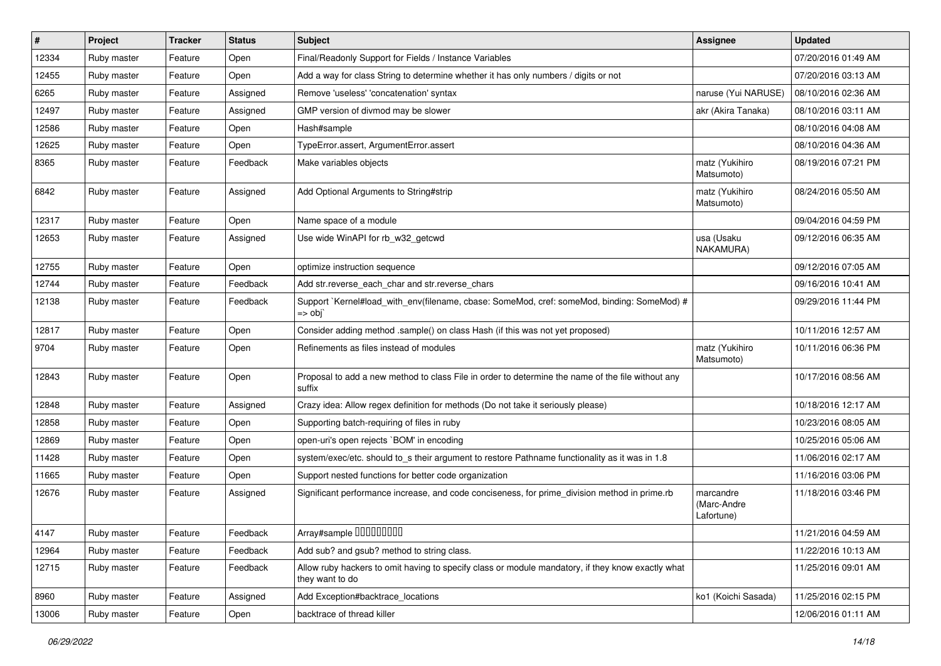| $\vert$ # | Project     | <b>Tracker</b> | <b>Status</b> | <b>Subject</b>                                                                                                       | Assignee                               | <b>Updated</b>      |
|-----------|-------------|----------------|---------------|----------------------------------------------------------------------------------------------------------------------|----------------------------------------|---------------------|
| 12334     | Ruby master | Feature        | Open          | Final/Readonly Support for Fields / Instance Variables                                                               |                                        | 07/20/2016 01:49 AM |
| 12455     | Ruby master | Feature        | Open          | Add a way for class String to determine whether it has only numbers / digits or not                                  |                                        | 07/20/2016 03:13 AM |
| 6265      | Ruby master | Feature        | Assigned      | Remove 'useless' 'concatenation' syntax                                                                              | naruse (Yui NARUSE)                    | 08/10/2016 02:36 AM |
| 12497     | Ruby master | Feature        | Assigned      | GMP version of divmod may be slower                                                                                  | akr (Akira Tanaka)                     | 08/10/2016 03:11 AM |
| 12586     | Ruby master | Feature        | Open          | Hash#sample                                                                                                          |                                        | 08/10/2016 04:08 AM |
| 12625     | Ruby master | Feature        | Open          | TypeError.assert, ArgumentError.assert                                                                               |                                        | 08/10/2016 04:36 AM |
| 8365      | Ruby master | Feature        | Feedback      | Make variables objects                                                                                               | matz (Yukihiro<br>Matsumoto)           | 08/19/2016 07:21 PM |
| 6842      | Ruby master | Feature        | Assigned      | Add Optional Arguments to String#strip                                                                               | matz (Yukihiro<br>Matsumoto)           | 08/24/2016 05:50 AM |
| 12317     | Ruby master | Feature        | Open          | Name space of a module                                                                                               |                                        | 09/04/2016 04:59 PM |
| 12653     | Ruby master | Feature        | Assigned      | Use wide WinAPI for rb_w32_getcwd                                                                                    | usa (Usaku<br>NAKAMURA)                | 09/12/2016 06:35 AM |
| 12755     | Ruby master | Feature        | Open          | optimize instruction sequence                                                                                        |                                        | 09/12/2016 07:05 AM |
| 12744     | Ruby master | Feature        | Feedback      | Add str.reverse_each_char and str.reverse_chars                                                                      |                                        | 09/16/2016 10:41 AM |
| 12138     | Ruby master | Feature        | Feedback      | Support `Kernel#load_with_env(filename, cbase: SomeMod, cref: someMod, binding: SomeMod) #<br>$\Rightarrow$ obj      |                                        | 09/29/2016 11:44 PM |
| 12817     | Ruby master | Feature        | Open          | Consider adding method .sample() on class Hash (if this was not yet proposed)                                        |                                        | 10/11/2016 12:57 AM |
| 9704      | Ruby master | Feature        | Open          | Refinements as files instead of modules                                                                              | matz (Yukihiro<br>Matsumoto)           | 10/11/2016 06:36 PM |
| 12843     | Ruby master | Feature        | Open          | Proposal to add a new method to class File in order to determine the name of the file without any<br>suffix          |                                        | 10/17/2016 08:56 AM |
| 12848     | Ruby master | Feature        | Assigned      | Crazy idea: Allow regex definition for methods (Do not take it seriously please)                                     |                                        | 10/18/2016 12:17 AM |
| 12858     | Ruby master | Feature        | Open          | Supporting batch-requiring of files in ruby                                                                          |                                        | 10/23/2016 08:05 AM |
| 12869     | Ruby master | Feature        | Open          | open-uri's open rejects `BOM' in encoding                                                                            |                                        | 10/25/2016 05:06 AM |
| 11428     | Ruby master | Feature        | Open          | system/exec/etc. should to_s their argument to restore Pathname functionality as it was in 1.8                       |                                        | 11/06/2016 02:17 AM |
| 11665     | Ruby master | Feature        | Open          | Support nested functions for better code organization                                                                |                                        | 11/16/2016 03:06 PM |
| 12676     | Ruby master | Feature        | Assigned      | Significant performance increase, and code conciseness, for prime_division method in prime.rb                        | marcandre<br>(Marc-Andre<br>Lafortune) | 11/18/2016 03:46 PM |
| 4147      | Ruby master | Feature        | Feedback      | Array#sample 00000000                                                                                                |                                        | 11/21/2016 04:59 AM |
| 12964     | Ruby master | Feature        | Feedback      | Add sub? and gsub? method to string class.                                                                           |                                        | 11/22/2016 10:13 AM |
| 12715     | Ruby master | Feature        | Feedback      | Allow ruby hackers to omit having to specify class or module mandatory, if they know exactly what<br>they want to do |                                        | 11/25/2016 09:01 AM |
| 8960      | Ruby master | Feature        | Assigned      | Add Exception#backtrace_locations                                                                                    | ko1 (Koichi Sasada)                    | 11/25/2016 02:15 PM |
| 13006     | Ruby master | Feature        | Open          | backtrace of thread killer                                                                                           |                                        | 12/06/2016 01:11 AM |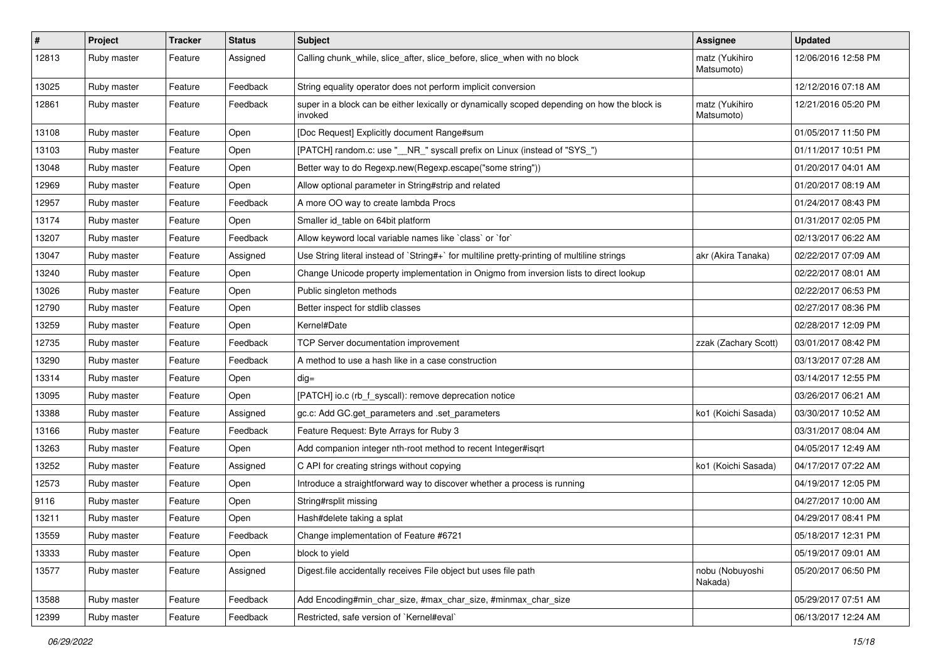| $\sharp$ | Project     | <b>Tracker</b> | <b>Status</b> | <b>Subject</b>                                                                                          | <b>Assignee</b>              | <b>Updated</b>      |
|----------|-------------|----------------|---------------|---------------------------------------------------------------------------------------------------------|------------------------------|---------------------|
| 12813    | Ruby master | Feature        | Assigned      | Calling chunk_while, slice_after, slice_before, slice_when with no block                                | matz (Yukihiro<br>Matsumoto) | 12/06/2016 12:58 PM |
| 13025    | Ruby master | Feature        | Feedback      | String equality operator does not perform implicit conversion                                           |                              | 12/12/2016 07:18 AM |
| 12861    | Ruby master | Feature        | Feedback      | super in a block can be either lexically or dynamically scoped depending on how the block is<br>invoked | matz (Yukihiro<br>Matsumoto) | 12/21/2016 05:20 PM |
| 13108    | Ruby master | Feature        | Open          | [Doc Request] Explicitly document Range#sum                                                             |                              | 01/05/2017 11:50 PM |
| 13103    | Ruby master | Feature        | Open          | [PATCH] random.c: use "__NR_" syscall prefix on Linux (instead of "SYS_")                               |                              | 01/11/2017 10:51 PM |
| 13048    | Ruby master | Feature        | Open          | Better way to do Regexp.new(Regexp.escape("some string"))                                               |                              | 01/20/2017 04:01 AM |
| 12969    | Ruby master | Feature        | Open          | Allow optional parameter in String#strip and related                                                    |                              | 01/20/2017 08:19 AM |
| 12957    | Ruby master | Feature        | Feedback      | A more OO way to create lambda Procs                                                                    |                              | 01/24/2017 08:43 PM |
| 13174    | Ruby master | Feature        | Open          | Smaller id table on 64bit platform                                                                      |                              | 01/31/2017 02:05 PM |
| 13207    | Ruby master | Feature        | Feedback      | Allow keyword local variable names like `class` or `for`                                                |                              | 02/13/2017 06:22 AM |
| 13047    | Ruby master | Feature        | Assigned      | Use String literal instead of `String#+` for multiline pretty-printing of multiline strings             | akr (Akira Tanaka)           | 02/22/2017 07:09 AM |
| 13240    | Ruby master | Feature        | Open          | Change Unicode property implementation in Onigmo from inversion lists to direct lookup                  |                              | 02/22/2017 08:01 AM |
| 13026    | Ruby master | Feature        | Open          | Public singleton methods                                                                                |                              | 02/22/2017 06:53 PM |
| 12790    | Ruby master | Feature        | Open          | Better inspect for stdlib classes                                                                       |                              | 02/27/2017 08:36 PM |
| 13259    | Ruby master | Feature        | Open          | Kernel#Date                                                                                             |                              | 02/28/2017 12:09 PM |
| 12735    | Ruby master | Feature        | Feedback      | TCP Server documentation improvement                                                                    | zzak (Zachary Scott)         | 03/01/2017 08:42 PM |
| 13290    | Ruby master | Feature        | Feedback      | A method to use a hash like in a case construction                                                      |                              | 03/13/2017 07:28 AM |
| 13314    | Ruby master | Feature        | Open          | $dig =$                                                                                                 |                              | 03/14/2017 12:55 PM |
| 13095    | Ruby master | Feature        | Open          | [PATCH] io.c (rb f syscall): remove deprecation notice                                                  |                              | 03/26/2017 06:21 AM |
| 13388    | Ruby master | Feature        | Assigned      | gc.c: Add GC.get_parameters and .set_parameters                                                         | ko1 (Koichi Sasada)          | 03/30/2017 10:52 AM |
| 13166    | Ruby master | Feature        | Feedback      | Feature Request: Byte Arrays for Ruby 3                                                                 |                              | 03/31/2017 08:04 AM |
| 13263    | Ruby master | Feature        | Open          | Add companion integer nth-root method to recent Integer#isqrt                                           |                              | 04/05/2017 12:49 AM |
| 13252    | Ruby master | Feature        | Assigned      | C API for creating strings without copying                                                              | ko1 (Koichi Sasada)          | 04/17/2017 07:22 AM |
| 12573    | Ruby master | Feature        | Open          | Introduce a straightforward way to discover whether a process is running                                |                              | 04/19/2017 12:05 PM |
| 9116     | Ruby master | Feature        | Open          | String#rsplit missing                                                                                   |                              | 04/27/2017 10:00 AM |
| 13211    | Ruby master | Feature        | Open          | Hash#delete taking a splat                                                                              |                              | 04/29/2017 08:41 PM |
| 13559    | Ruby master | Feature        | Feedback      | Change implementation of Feature #6721                                                                  |                              | 05/18/2017 12:31 PM |
| 13333    | Ruby master | Feature        | Open          | block to yield                                                                                          |                              | 05/19/2017 09:01 AM |
| 13577    | Ruby master | Feature        | Assigned      | Digest file accidentally receives File object but uses file path                                        | nobu (Nobuyoshi<br>Nakada)   | 05/20/2017 06:50 PM |
| 13588    | Ruby master | Feature        | Feedback      | Add Encoding#min_char_size, #max_char_size, #minmax_char_size                                           |                              | 05/29/2017 07:51 AM |
| 12399    | Ruby master | Feature        | Feedback      | Restricted, safe version of `Kernel#eval`                                                               |                              | 06/13/2017 12:24 AM |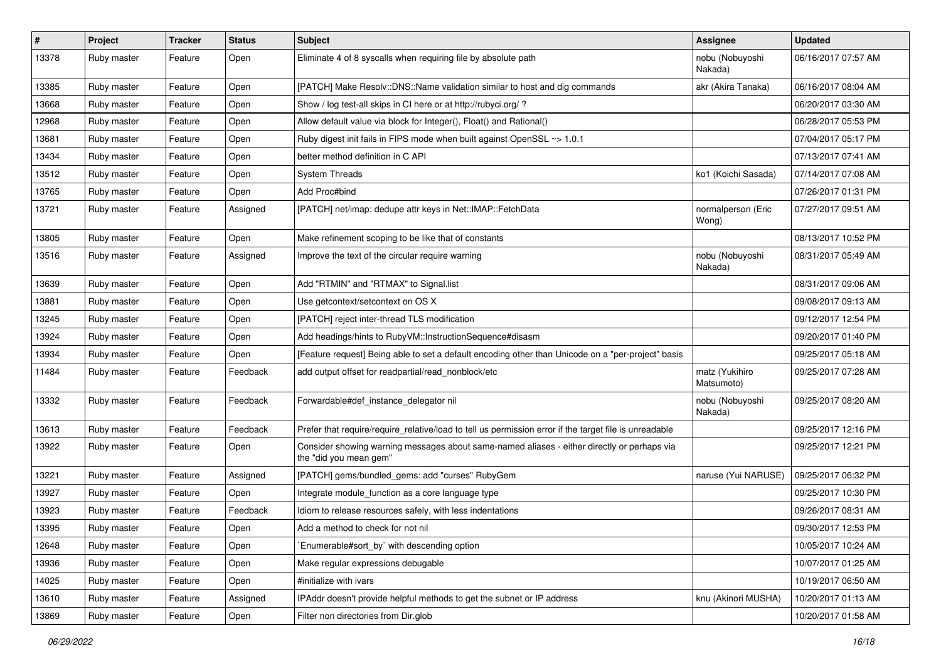| #     | Project     | <b>Tracker</b> | <b>Status</b> | <b>Subject</b>                                                                                                        | <b>Assignee</b>              | <b>Updated</b>      |
|-------|-------------|----------------|---------------|-----------------------------------------------------------------------------------------------------------------------|------------------------------|---------------------|
| 13378 | Ruby master | Feature        | Open          | Eliminate 4 of 8 syscalls when requiring file by absolute path                                                        | nobu (Nobuyoshi<br>Nakada)   | 06/16/2017 07:57 AM |
| 13385 | Ruby master | Feature        | Open          | [PATCH] Make Resolv::DNS::Name validation similar to host and dig commands                                            | akr (Akira Tanaka)           | 06/16/2017 08:04 AM |
| 13668 | Ruby master | Feature        | Open          | Show / log test-all skips in CI here or at http://rubyci.org/ ?                                                       |                              | 06/20/2017 03:30 AM |
| 12968 | Ruby master | Feature        | Open          | Allow default value via block for Integer(), Float() and Rational()                                                   |                              | 06/28/2017 05:53 PM |
| 13681 | Ruby master | Feature        | Open          | Ruby digest init fails in FIPS mode when built against OpenSSL ~> 1.0.1                                               |                              | 07/04/2017 05:17 PM |
| 13434 | Ruby master | Feature        | Open          | better method definition in C API                                                                                     |                              | 07/13/2017 07:41 AM |
| 13512 | Ruby master | Feature        | Open          | <b>System Threads</b>                                                                                                 | ko1 (Koichi Sasada)          | 07/14/2017 07:08 AM |
| 13765 | Ruby master | Feature        | Open          | Add Proc#bind                                                                                                         |                              | 07/26/2017 01:31 PM |
| 13721 | Ruby master | Feature        | Assigned      | [PATCH] net/imap: dedupe attr keys in Net::IMAP::FetchData                                                            | normalperson (Eric<br>Wong)  | 07/27/2017 09:51 AM |
| 13805 | Ruby master | Feature        | Open          | Make refinement scoping to be like that of constants                                                                  |                              | 08/13/2017 10:52 PM |
| 13516 | Ruby master | Feature        | Assigned      | Improve the text of the circular require warning                                                                      | nobu (Nobuyoshi<br>Nakada)   | 08/31/2017 05:49 AM |
| 13639 | Ruby master | Feature        | Open          | Add "RTMIN" and "RTMAX" to Signal.list                                                                                |                              | 08/31/2017 09:06 AM |
| 13881 | Ruby master | Feature        | Open          | Use getcontext/setcontext on OS X                                                                                     |                              | 09/08/2017 09:13 AM |
| 13245 | Ruby master | Feature        | Open          | [PATCH] reject inter-thread TLS modification                                                                          |                              | 09/12/2017 12:54 PM |
| 13924 | Ruby master | Feature        | Open          | Add headings/hints to RubyVM::InstructionSequence#disasm                                                              |                              | 09/20/2017 01:40 PM |
| 13934 | Ruby master | Feature        | Open          | [Feature request] Being able to set a default encoding other than Unicode on a "per-project" basis                    |                              | 09/25/2017 05:18 AM |
| 11484 | Ruby master | Feature        | Feedback      | add output offset for readpartial/read_nonblock/etc                                                                   | matz (Yukihiro<br>Matsumoto) | 09/25/2017 07:28 AM |
| 13332 | Ruby master | Feature        | Feedback      | Forwardable#def_instance_delegator nil                                                                                | nobu (Nobuyoshi<br>Nakada)   | 09/25/2017 08:20 AM |
| 13613 | Ruby master | Feature        | Feedback      | Prefer that require/require_relative/load to tell us permission error if the target file is unreadable                |                              | 09/25/2017 12:16 PM |
| 13922 | Ruby master | Feature        | Open          | Consider showing warning messages about same-named aliases - either directly or perhaps via<br>the "did you mean gem" |                              | 09/25/2017 12:21 PM |
| 13221 | Ruby master | Feature        | Assigned      | [PATCH] gems/bundled_gems: add "curses" RubyGem                                                                       | naruse (Yui NARUSE)          | 09/25/2017 06:32 PM |
| 13927 | Ruby master | Feature        | Open          | Integrate module_function as a core language type                                                                     |                              | 09/25/2017 10:30 PM |
| 13923 | Ruby master | Feature        | Feedback      | Idiom to release resources safely, with less indentations                                                             |                              | 09/26/2017 08:31 AM |
| 13395 | Ruby master | Feature        | Open          | Add a method to check for not nil                                                                                     |                              | 09/30/2017 12:53 PM |
| 12648 | Ruby master | Feature        | Open          | Enumerable#sort by` with descending option                                                                            |                              | 10/05/2017 10:24 AM |
| 13936 | Ruby master | Feature        | Open          | Make regular expressions debugable                                                                                    |                              | 10/07/2017 01:25 AM |
| 14025 | Ruby master | Feature        | Open          | #initialize with ivars                                                                                                |                              | 10/19/2017 06:50 AM |
| 13610 | Ruby master | Feature        | Assigned      | IPAddr doesn't provide helpful methods to get the subnet or IP address                                                | knu (Akinori MUSHA)          | 10/20/2017 01:13 AM |
| 13869 | Ruby master | Feature        | Open          | Filter non directories from Dir.glob                                                                                  |                              | 10/20/2017 01:58 AM |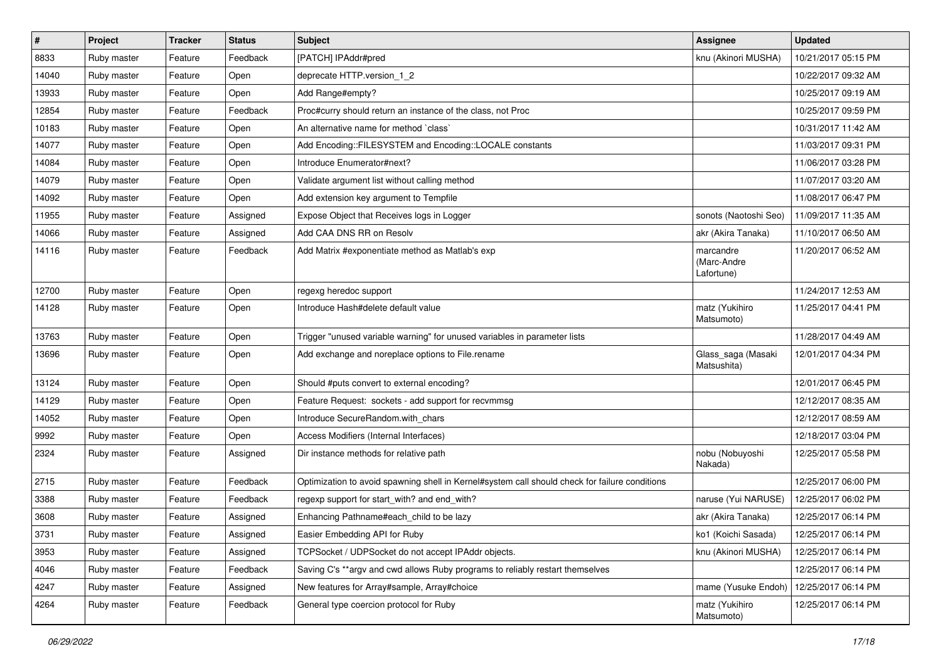| $\pmb{\#}$ | Project     | <b>Tracker</b> | <b>Status</b> | <b>Subject</b>                                                                                 | <b>Assignee</b>                        | <b>Updated</b>      |
|------------|-------------|----------------|---------------|------------------------------------------------------------------------------------------------|----------------------------------------|---------------------|
| 8833       | Ruby master | Feature        | Feedback      | [PATCH] IPAddr#pred                                                                            | knu (Akinori MUSHA)                    | 10/21/2017 05:15 PM |
| 14040      | Ruby master | Feature        | Open          | deprecate HTTP.version_1_2                                                                     |                                        | 10/22/2017 09:32 AM |
| 13933      | Ruby master | Feature        | Open          | Add Range#empty?                                                                               |                                        | 10/25/2017 09:19 AM |
| 12854      | Ruby master | Feature        | Feedback      | Proc#curry should return an instance of the class, not Proc                                    |                                        | 10/25/2017 09:59 PM |
| 10183      | Ruby master | Feature        | Open          | An alternative name for method `class`                                                         |                                        | 10/31/2017 11:42 AM |
| 14077      | Ruby master | Feature        | Open          | Add Encoding::FILESYSTEM and Encoding::LOCALE constants                                        |                                        | 11/03/2017 09:31 PM |
| 14084      | Ruby master | Feature        | Open          | Introduce Enumerator#next?                                                                     |                                        | 11/06/2017 03:28 PM |
| 14079      | Ruby master | Feature        | Open          | Validate argument list without calling method                                                  |                                        | 11/07/2017 03:20 AM |
| 14092      | Ruby master | Feature        | Open          | Add extension key argument to Tempfile                                                         |                                        | 11/08/2017 06:47 PM |
| 11955      | Ruby master | Feature        | Assigned      | Expose Object that Receives logs in Logger                                                     | sonots (Naotoshi Seo)                  | 11/09/2017 11:35 AM |
| 14066      | Ruby master | Feature        | Assigned      | Add CAA DNS RR on Resolv                                                                       | akr (Akira Tanaka)                     | 11/10/2017 06:50 AM |
| 14116      | Ruby master | Feature        | Feedback      | Add Matrix #exponentiate method as Matlab's exp                                                | marcandre<br>(Marc-Andre<br>Lafortune) | 11/20/2017 06:52 AM |
| 12700      | Ruby master | Feature        | Open          | regexg heredoc support                                                                         |                                        | 11/24/2017 12:53 AM |
| 14128      | Ruby master | Feature        | Open          | Introduce Hash#delete default value                                                            | matz (Yukihiro<br>Matsumoto)           | 11/25/2017 04:41 PM |
| 13763      | Ruby master | Feature        | Open          | Trigger "unused variable warning" for unused variables in parameter lists                      |                                        | 11/28/2017 04:49 AM |
| 13696      | Ruby master | Feature        | Open          | Add exchange and noreplace options to File.rename                                              | Glass_saga (Masaki<br>Matsushita)      | 12/01/2017 04:34 PM |
| 13124      | Ruby master | Feature        | Open          | Should #puts convert to external encoding?                                                     |                                        | 12/01/2017 06:45 PM |
| 14129      | Ruby master | Feature        | Open          | Feature Request: sockets - add support for recvmmsg                                            |                                        | 12/12/2017 08:35 AM |
| 14052      | Ruby master | Feature        | Open          | Introduce SecureRandom.with_chars                                                              |                                        | 12/12/2017 08:59 AM |
| 9992       | Ruby master | Feature        | Open          | Access Modifiers (Internal Interfaces)                                                         |                                        | 12/18/2017 03:04 PM |
| 2324       | Ruby master | Feature        | Assigned      | Dir instance methods for relative path                                                         | nobu (Nobuyoshi<br>Nakada)             | 12/25/2017 05:58 PM |
| 2715       | Ruby master | Feature        | Feedback      | Optimization to avoid spawning shell in Kernel#system call should check for failure conditions |                                        | 12/25/2017 06:00 PM |
| 3388       | Ruby master | Feature        | Feedback      | regexp support for start_with? and end_with?                                                   | naruse (Yui NARUSE)                    | 12/25/2017 06:02 PM |
| 3608       | Ruby master | Feature        | Assigned      | Enhancing Pathname#each_child to be lazy                                                       | akr (Akira Tanaka)                     | 12/25/2017 06:14 PM |
| 3731       | Ruby master | Feature        | Assigned      | Easier Embedding API for Ruby                                                                  | ko1 (Koichi Sasada)                    | 12/25/2017 06:14 PM |
| 3953       | Ruby master | Feature        | Assigned      | TCPSocket / UDPSocket do not accept IPAddr objects.                                            | knu (Akinori MUSHA)                    | 12/25/2017 06:14 PM |
| 4046       | Ruby master | Feature        | Feedback      | Saving C's **argv and cwd allows Ruby programs to reliably restart themselves                  |                                        | 12/25/2017 06:14 PM |
| 4247       | Ruby master | Feature        | Assigned      | New features for Array#sample, Array#choice                                                    | mame (Yusuke Endoh)                    | 12/25/2017 06:14 PM |
| 4264       | Ruby master | Feature        | Feedback      | General type coercion protocol for Ruby                                                        | matz (Yukihiro<br>Matsumoto)           | 12/25/2017 06:14 PM |